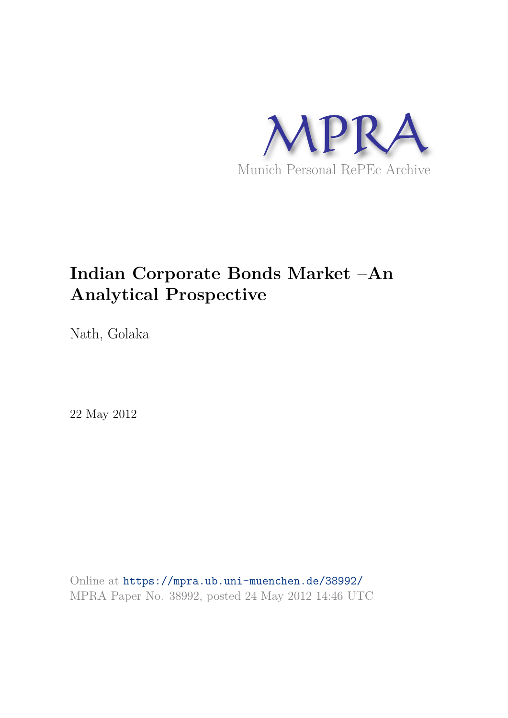

# **Indian Corporate Bonds Market –An Analytical Prospective**

Nath, Golaka

22 May 2012

Online at https://mpra.ub.uni-muenchen.de/38992/ MPRA Paper No. 38992, posted 24 May 2012 14:46 UTC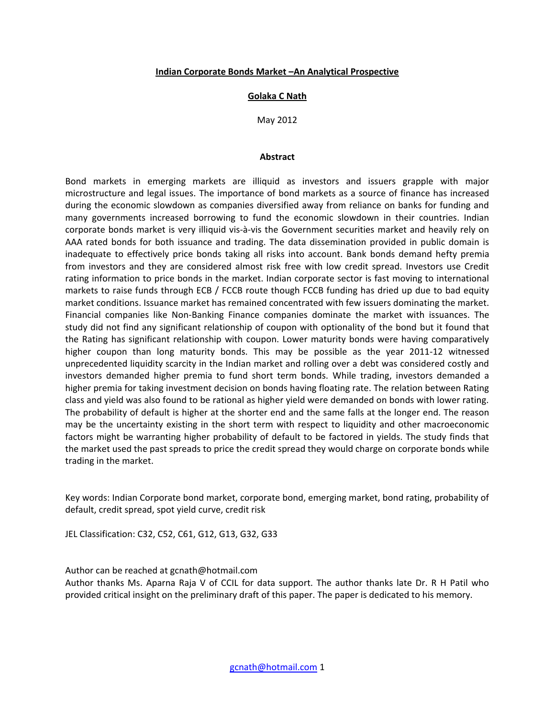## **Indian Corporate Bonds Market –An Analytical Prospective**

## **Golaka C Nath**

May 2012

#### **Abstract**

Bond markets in emerging markets are illiquid as investors and issuers grapple with major microstructure and legal issues. The importance of bond markets as a source of finance has increased during the economic slowdown as companies diversified away from reliance on banks for funding and many governments increased borrowing to fund the economic slowdown in their countries. Indian corporate bonds market is very illiquid vis-à-vis the Government securities market and heavily rely on AAA rated bonds for both issuance and trading. The data dissemination provided in public domain is inadequate to effectively price bonds taking all risks into account. Bank bonds demand hefty premia from investors and they are considered almost risk free with low credit spread. Investors use Credit rating information to price bonds in the market. Indian corporate sector is fast moving to international markets to raise funds through ECB / FCCB route though FCCB funding has dried up due to bad equity market conditions. Issuance market has remained concentrated with few issuers dominating the market. Financial companies like Non-Banking Finance companies dominate the market with issuances. The study did not find any significant relationship of coupon with optionality of the bond but it found that the Rating has significant relationship with coupon. Lower maturity bonds were having comparatively higher coupon than long maturity bonds. This may be possible as the year 2011-12 witnessed unprecedented liquidity scarcity in the Indian market and rolling over a debt was considered costly and investors demanded higher premia to fund short term bonds. While trading, investors demanded a higher premia for taking investment decision on bonds having floating rate. The relation between Rating class and yield was also found to be rational as higher yield were demanded on bonds with lower rating. The probability of default is higher at the shorter end and the same falls at the longer end. The reason may be the uncertainty existing in the short term with respect to liquidity and other macroeconomic factors might be warranting higher probability of default to be factored in yields. The study finds that the market used the past spreads to price the credit spread they would charge on corporate bonds while trading in the market.

Key words: Indian Corporate bond market, corporate bond, emerging market, bond rating, probability of default, credit spread, spot yield curve, credit risk

JEL Classification: C32, C52, C61, G12, G13, G32, G33

Author can be reached at gcnath@hotmail.com

Author thanks Ms. Aparna Raja V of CCIL for data support. The author thanks late Dr. R H Patil who provided critical insight on the preliminary draft of this paper. The paper is dedicated to his memory.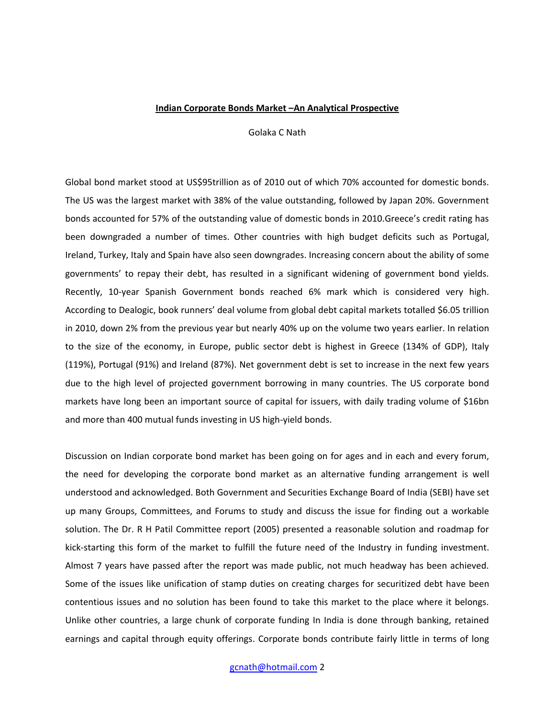#### **Indian Corporate Bonds Market –An Analytical Prospective**

Golaka C Nath

Global bond market stood at US\$95trillion as of 2010 out of which 70% accounted for domestic bonds. The US was the largest market with 38% of the value outstanding, followed by Japan 20%. Government bonds accounted for 57% of the outstanding value of domestic bonds in 2010.Greece's credit rating has been downgraded a number of times. Other countries with high budget deficits such as Portugal, Ireland, Turkey, Italy and Spain have also seen downgrades. Increasing concern about the ability of some governments' to repay their debt, has resulted in a significant widening of government bond yields. Recently, 10-year Spanish Government bonds reached 6% mark which is considered very high. According to Dealogic, book runners' deal volume from global debt capital markets totalled \$6.05 trillion in 2010, down 2% from the previous year but nearly 40% up on the volume two years earlier. In relation to the size of the economy, in Europe, public sector debt is highest in Greece (134% of GDP), Italy (119%), Portugal (91%) and Ireland (87%). Net government debt is set to increase in the next few years due to the high level of projected government borrowing in many countries. The US corporate bond markets have long been an important source of capital for issuers, with daily trading volume of \$16bn and more than 400 mutual funds investing in US high-yield bonds.

Discussion on Indian corporate bond market has been going on for ages and in each and every forum, the need for developing the corporate bond market as an alternative funding arrangement is well understood and acknowledged. Both Government and Securities Exchange Board of India (SEBI) have set up many Groups, Committees, and Forums to study and discuss the issue for finding out a workable solution. The Dr. R H Patil Committee report (2005) presented a reasonable solution and roadmap for kick-starting this form of the market to fulfill the future need of the Industry in funding investment. Almost 7 years have passed after the report was made public, not much headway has been achieved. Some of the issues like unification of stamp duties on creating charges for securitized debt have been contentious issues and no solution has been found to take this market to the place where it belongs. Unlike other countries, a large chunk of corporate funding In India is done through banking, retained earnings and capital through equity offerings. Corporate bonds contribute fairly little in terms of long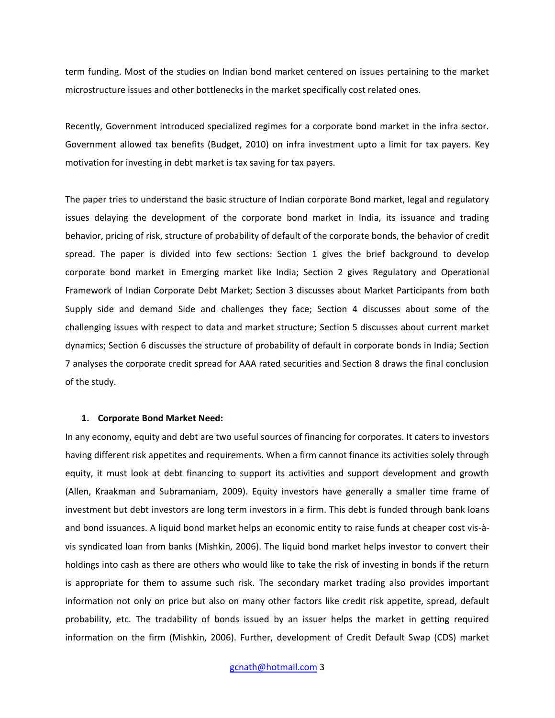term funding. Most of the studies on Indian bond market centered on issues pertaining to the market microstructure issues and other bottlenecks in the market specifically cost related ones.

Recently, Government introduced specialized regimes for a corporate bond market in the infra sector. Government allowed tax benefits (Budget, 2010) on infra investment upto a limit for tax payers. Key motivation for investing in debt market is tax saving for tax payers.

The paper tries to understand the basic structure of Indian corporate Bond market, legal and regulatory issues delaying the development of the corporate bond market in India, its issuance and trading behavior, pricing of risk, structure of probability of default of the corporate bonds, the behavior of credit spread. The paper is divided into few sections: Section 1 gives the brief background to develop corporate bond market in Emerging market like India; Section 2 gives Regulatory and Operational Framework of Indian Corporate Debt Market; Section 3 discusses about Market Participants from both Supply side and demand Side and challenges they face; Section 4 discusses about some of the challenging issues with respect to data and market structure; Section 5 discusses about current market dynamics; Section 6 discusses the structure of probability of default in corporate bonds in India; Section 7 analyses the corporate credit spread for AAA rated securities and Section 8 draws the final conclusion of the study.

#### **1. Corporate Bond Market Need:**

In any economy, equity and debt are two useful sources of financing for corporates. It caters to investors having different risk appetites and requirements. When a firm cannot finance its activities solely through equity, it must look at debt financing to support its activities and support development and growth (Allen, Kraakman and Subramaniam, 2009). Equity investors have generally a smaller time frame of investment but debt investors are long term investors in a firm. This debt is funded through bank loans and bond issuances. A liquid bond market helps an economic entity to raise funds at cheaper cost vis-àvis syndicated loan from banks (Mishkin, 2006). The liquid bond market helps investor to convert their holdings into cash as there are others who would like to take the risk of investing in bonds if the return is appropriate for them to assume such risk. The secondary market trading also provides important information not only on price but also on many other factors like credit risk appetite, spread, default probability, etc. The tradability of bonds issued by an issuer helps the market in getting required information on the firm (Mishkin, 2006). Further, development of Credit Default Swap (CDS) market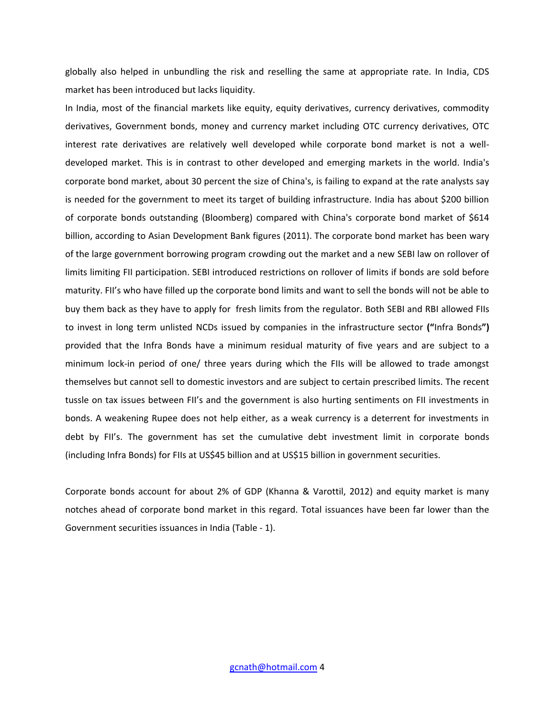globally also helped in unbundling the risk and reselling the same at appropriate rate. In India, CDS market has been introduced but lacks liquidity.

In India, most of the financial markets like equity, equity derivatives, currency derivatives, commodity derivatives, Government bonds, money and currency market including OTC currency derivatives, OTC interest rate derivatives are relatively well developed while corporate bond market is not a welldeveloped market. This is in contrast to other developed and emerging markets in the world. India's corporate bond market, about 30 percent the size of China's, is failing to expand at the rate analysts say is needed for the government to meet its target of building infrastructure. India has about \$200 billion of corporate bonds outstanding (Bloomberg) compared with China's corporate bond market of \$614 billion, according to Asian Development Bank figures (2011). The corporate bond market has been wary of the large government borrowing program crowding out the market and a new SEBI law on rollover of limits limiting FII participation. SEBI introduced restrictions on rollover of limits if bonds are sold before maturity. FII's who have filled up the corporate bond limits and want to sell the bonds will not be able to buy them back as they have to apply for fresh limits from the regulator. Both SEBI and RBI allowed FIIs to invest in long term unlisted NCDs issued by companies in the infrastructure sector **("**Infra Bonds**")** provided that the Infra Bonds have a minimum residual maturity of five years and are subject to a minimum lock-in period of one/ three years during which the FIIs will be allowed to trade amongst themselves but cannot sell to domestic investors and are subject to certain prescribed limits. The recent tussle on tax issues between FII's and the government is also hurting sentiments on FII investments in bonds. A weakening Rupee does not help either, as a weak currency is a deterrent for investments in debt by FII's. The government has set the cumulative debt investment limit in corporate bonds (including Infra Bonds) for FIIs at US\$45 billion and at US\$15 billion in government securities.

Corporate bonds account for about 2% of GDP (Khanna & Varottil, 2012) and equity market is many notches ahead of corporate bond market in this regard. Total issuances have been far lower than the Government securities issuances in India (Table - 1).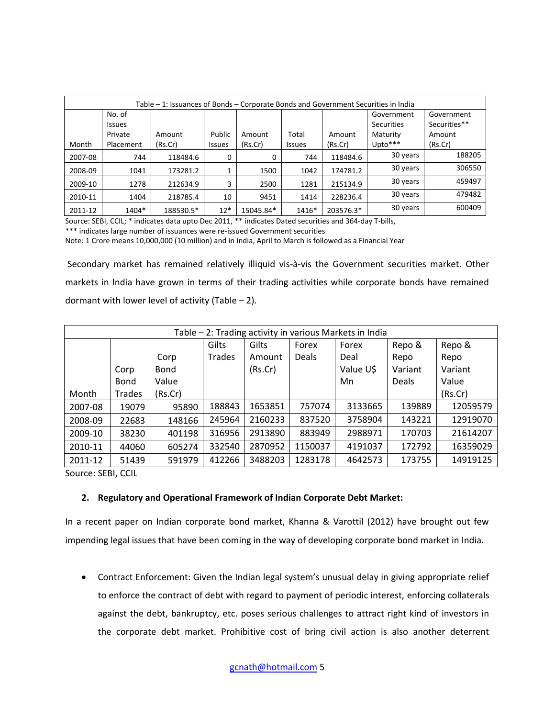| Table – 1: Issuances of Bonds – Corporate Bonds and Government Securities in India |               |           |               |           |               |           |                   |              |
|------------------------------------------------------------------------------------|---------------|-----------|---------------|-----------|---------------|-----------|-------------------|--------------|
|                                                                                    | No. of        |           |               |           |               |           | Government        | Government   |
|                                                                                    | <b>Issues</b> |           |               |           |               |           | <b>Securities</b> | Securities** |
|                                                                                    | Private       | Amount    | Public        | Amount    | Total         | Amount    | Maturity          | Amount       |
| Month                                                                              | Placement     | (Rs.Cr)   | <b>Issues</b> | (Rs.Cr)   | <b>Issues</b> | (Rs.Cr)   | Upto***           | (Rs.Cr)      |
| 2007-08                                                                            | 744           | 118484.6  | 0             | O         | 744           | 118484.6  | 30 years          | 188205       |
| 2008-09                                                                            | 1041          | 173281.2  |               | 1500      | 1042          | 174781.2  | 30 years          | 306550       |
| 2009-10                                                                            | 1278          | 212634.9  | 3             | 2500      | 1281          | 215134.9  | 30 years          | 459497       |
| 2010-11                                                                            | 1404          | 218785.4  | 10            | 9451      | 1414          | 228236.4  | 30 years          | 479482       |
| 2011-12                                                                            | 1404*         | 188530.5* | $12*$         | 15045.84* | 1416*         | 203576.3* | 30 years          | 600409       |

Source: SEBI, CCIL; \* indicates data upto Dec 2011, \*\* indicates Dated securities and 364-day T-bills,

Note: 1 Crore means 10,000,000 (10 million) and in India, April to March is followed as a Financial Year

 Secondary market has remained relatively illiquid vis-à-vis the Government securities market. Other markets in India have grown in terms of their trading activities while corporate bonds have remained dormant with lower level of activity (Table  $-2$ ).

| Table - 2: Trading activity in various Markets in India |             |             |               |         |              |           |              |          |
|---------------------------------------------------------|-------------|-------------|---------------|---------|--------------|-----------|--------------|----------|
|                                                         |             |             | Gilts         | Gilts   | Forex        | Forex     | Repo &       | Repo &   |
|                                                         |             | Corp        | <b>Trades</b> | Amount  | <b>Deals</b> | Deal      | Repo         | Repo     |
|                                                         | Corp        | <b>Bond</b> |               | (Rs.Cr) |              | Value U\$ | Variant      | Variant  |
|                                                         | <b>Bond</b> | Value       |               |         |              | Mn        | <b>Deals</b> | Value    |
| Month                                                   | Trades      | (Rs.Cr)     |               |         |              |           |              | (Rs.Cr)  |
| 2007-08                                                 | 19079       | 95890       | 188843        | 1653851 | 757074       | 3133665   | 139889       | 12059579 |
| 2008-09                                                 | 22683       | 148166      | 245964        | 2160233 | 837520       | 3758904   | 143221       | 12919070 |
| 2009-10                                                 | 38230       | 401198      | 316956        | 2913890 | 883949       | 2988971   | 170703       | 21614207 |
| 2010-11                                                 | 44060       | 605274      | 332540        | 2870952 | 1150037      | 4191037   | 172792       | 16359029 |
| 2011-12                                                 | 51439       | 591979      | 412266        | 3488203 | 1283178      | 4642573   | 173755       | 14919125 |

Source: SEBI, CCIL

# **2. Regulatory and Operational Framework of Indian Corporate Debt Market:**

In a recent paper on Indian corporate bond market, Khanna & Varottil (2012) have brought out few impending legal issues that have been coming in the way of developing corporate bond market in India.

 Contract Enforcement: Given the Indian legal system's unusual delay in giving appropriate relief to enforce the contract of debt with regard to payment of periodic interest, enforcing collaterals against the debt, bankruptcy, etc. poses serious challenges to attract right kind of investors in the corporate debt market. Prohibitive cost of bring civil action is also another deterrent

<sup>\*\*\*</sup> indicates large number of issuances were re-issued Government securities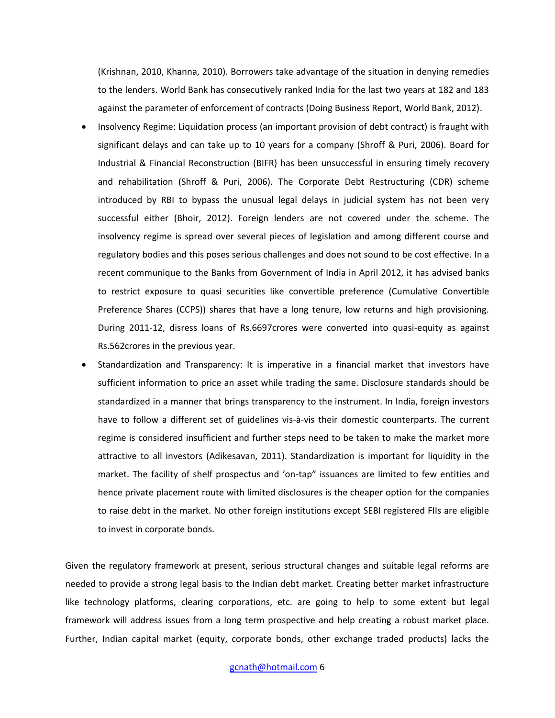(Krishnan, 2010, Khanna, 2010). Borrowers take advantage of the situation in denying remedies to the lenders. World Bank has consecutively ranked India for the last two years at 182 and 183 against the parameter of enforcement of contracts (Doing Business Report, World Bank, 2012).

- Insolvency Regime: Liquidation process (an important provision of debt contract) is fraught with significant delays and can take up to 10 years for a company (Shroff & Puri, 2006). Board for Industrial & Financial Reconstruction (BIFR) has been unsuccessful in ensuring timely recovery and rehabilitation (Shroff & Puri, 2006). The Corporate Debt Restructuring (CDR) scheme introduced by RBI to bypass the unusual legal delays in judicial system has not been very successful either (Bhoir, 2012). Foreign lenders are not covered under the scheme. The insolvency regime is spread over several pieces of legislation and among different course and regulatory bodies and this poses serious challenges and does not sound to be cost effective. In a recent communique to the Banks from Government of India in April 2012, it has advised banks to restrict exposure to quasi securities like convertible preference (Cumulative Convertible Preference Shares (CCPS)) shares that have a long tenure, low returns and high provisioning. During 2011-12, disress loans of Rs.6697crores were converted into quasi-equity as against Rs.562crores in the previous year.
- Standardization and Transparency: It is imperative in a financial market that investors have sufficient information to price an asset while trading the same. Disclosure standards should be standardized in a manner that brings transparency to the instrument. In India, foreign investors have to follow a different set of guidelines vis-à-vis their domestic counterparts. The current regime is considered insufficient and further steps need to be taken to make the market more attractive to all investors (Adikesavan, 2011). Standardization is important for liquidity in the market. The facility of shelf prospectus and 'on-tap" issuances are limited to few entities and hence private placement route with limited disclosures is the cheaper option for the companies to raise debt in the market. No other foreign institutions except SEBI registered FIIs are eligible to invest in corporate bonds.

Given the regulatory framework at present, serious structural changes and suitable legal reforms are needed to provide a strong legal basis to the Indian debt market. Creating better market infrastructure like technology platforms, clearing corporations, etc. are going to help to some extent but legal framework will address issues from a long term prospective and help creating a robust market place. Further, Indian capital market (equity, corporate bonds, other exchange traded products) lacks the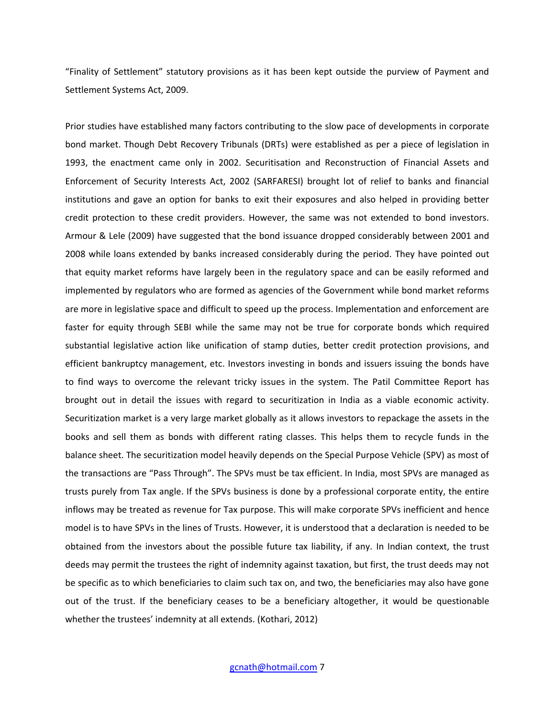"Finality of Settlement" statutory provisions as it has been kept outside the purview of Payment and Settlement Systems Act, 2009.

Prior studies have established many factors contributing to the slow pace of developments in corporate bond market. Though Debt Recovery Tribunals (DRTs) were established as per a piece of legislation in 1993, the enactment came only in 2002. Securitisation and Reconstruction of Financial Assets and Enforcement of Security Interests Act, 2002 (SARFARESI) brought lot of relief to banks and financial institutions and gave an option for banks to exit their exposures and also helped in providing better credit protection to these credit providers. However, the same was not extended to bond investors. Armour & Lele (2009) have suggested that the bond issuance dropped considerably between 2001 and 2008 while loans extended by banks increased considerably during the period. They have pointed out that equity market reforms have largely been in the regulatory space and can be easily reformed and implemented by regulators who are formed as agencies of the Government while bond market reforms are more in legislative space and difficult to speed up the process. Implementation and enforcement are faster for equity through SEBI while the same may not be true for corporate bonds which required substantial legislative action like unification of stamp duties, better credit protection provisions, and efficient bankruptcy management, etc. Investors investing in bonds and issuers issuing the bonds have to find ways to overcome the relevant tricky issues in the system. The Patil Committee Report has brought out in detail the issues with regard to securitization in India as a viable economic activity. Securitization market is a very large market globally as it allows investors to repackage the assets in the books and sell them as bonds with different rating classes. This helps them to recycle funds in the balance sheet. The securitization model heavily depends on the Special Purpose Vehicle (SPV) as most of the transactions are "Pass Through". The SPVs must be tax efficient. In India, most SPVs are managed as trusts purely from Tax angle. If the SPVs business is done by a professional corporate entity, the entire inflows may be treated as revenue for Tax purpose. This will make corporate SPVs inefficient and hence model is to have SPVs in the lines of Trusts. However, it is understood that a declaration is needed to be obtained from the investors about the possible future tax liability, if any. In Indian context, the trust deeds may permit the trustees the right of indemnity against taxation, but first, the trust deeds may not be specific as to which beneficiaries to claim such tax on, and two, the beneficiaries may also have gone out of the trust. If the beneficiary ceases to be a beneficiary altogether, it would be questionable whether the trustees' indemnity at all extends. (Kothari, 2012)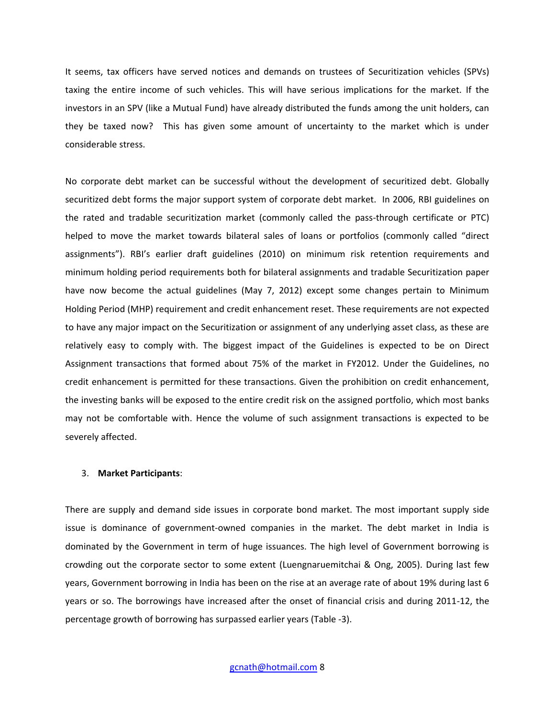It seems, tax officers have served notices and demands on trustees of Securitization vehicles (SPVs) taxing the entire income of such vehicles. This will have serious implications for the market. If the investors in an SPV (like a Mutual Fund) have already distributed the funds among the unit holders, can they be taxed now? This has given some amount of uncertainty to the market which is under considerable stress.

No corporate debt market can be successful without the development of securitized debt. Globally securitized debt forms the major support system of corporate debt market. In 2006, RBI guidelines on the rated and tradable securitization market (commonly called the pass-through certificate or PTC) helped to move the market towards bilateral sales of loans or portfolios (commonly called "direct assignments"). RBI's earlier draft guidelines (2010) on minimum risk retention requirements and minimum holding period requirements both for bilateral assignments and tradable Securitization paper have now become the actual guidelines (May 7, 2012) except some changes pertain to Minimum Holding Period (MHP) requirement and credit enhancement reset. These requirements are not expected to have any major impact on the Securitization or assignment of any underlying asset class, as these are relatively easy to comply with. The biggest impact of the Guidelines is expected to be on Direct Assignment transactions that formed about 75% of the market in FY2012. Under the Guidelines, no credit enhancement is permitted for these transactions. Given the prohibition on credit enhancement, the investing banks will be exposed to the entire credit risk on the assigned portfolio, which most banks may not be comfortable with. Hence the volume of such assignment transactions is expected to be severely affected.

#### 3. **Market Participants**:

There are supply and demand side issues in corporate bond market. The most important supply side issue is dominance of government-owned companies in the market. The debt market in India is dominated by the Government in term of huge issuances. The high level of Government borrowing is crowding out the corporate sector to some extent (Luengnaruemitchai & Ong, 2005). During last few years, Government borrowing in India has been on the rise at an average rate of about 19% during last 6 years or so. The borrowings have increased after the onset of financial crisis and during 2011-12, the percentage growth of borrowing has surpassed earlier years (Table -3).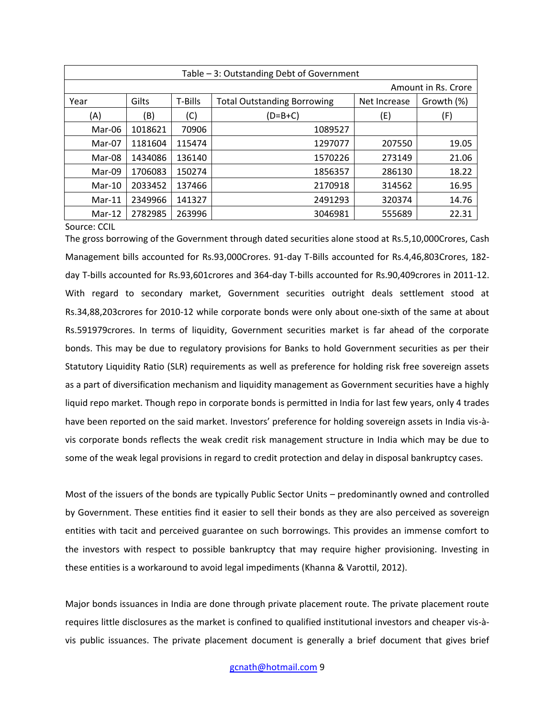| Table - 3: Outstanding Debt of Government |                     |         |                                    |              |            |  |  |  |
|-------------------------------------------|---------------------|---------|------------------------------------|--------------|------------|--|--|--|
|                                           | Amount in Rs. Crore |         |                                    |              |            |  |  |  |
| Year                                      | Gilts               | T-Bills | <b>Total Outstanding Borrowing</b> | Net Increase | Growth (%) |  |  |  |
| (A)                                       | (B)                 | (C)     | $(D=B+C)$                          | (E)          | (F)        |  |  |  |
| Mar-06                                    | 1018621             | 70906   | 1089527                            |              |            |  |  |  |
| Mar-07                                    | 1181604             | 115474  | 1297077                            | 207550       | 19.05      |  |  |  |
| Mar-08                                    | 1434086             | 136140  | 1570226                            | 273149       | 21.06      |  |  |  |
| Mar-09                                    | 1706083             | 150274  | 1856357                            | 286130       | 18.22      |  |  |  |
| Mar-10                                    | 2033452             | 137466  | 2170918                            | 314562       | 16.95      |  |  |  |
| $Mar-11$                                  | 2349966             | 141327  | 2491293                            | 320374       | 14.76      |  |  |  |
| $Mar-12$                                  | 2782985             | 263996  | 3046981                            | 555689       | 22.31      |  |  |  |

#### Source: CCIL

The gross borrowing of the Government through dated securities alone stood at Rs.5,10,000Crores, Cash Management bills accounted for Rs.93,000Crores. 91-day T-Bills accounted for Rs.4,46,803Crores, 182 day T-bills accounted for Rs.93,601crores and 364-day T-bills accounted for Rs.90,409crores in 2011-12. With regard to secondary market, Government securities outright deals settlement stood at Rs.34,88,203crores for 2010-12 while corporate bonds were only about one-sixth of the same at about Rs.591979crores. In terms of liquidity, Government securities market is far ahead of the corporate bonds. This may be due to regulatory provisions for Banks to hold Government securities as per their Statutory Liquidity Ratio (SLR) requirements as well as preference for holding risk free sovereign assets as a part of diversification mechanism and liquidity management as Government securities have a highly liquid repo market. Though repo in corporate bonds is permitted in India for last few years, only 4 trades have been reported on the said market. Investors' preference for holding sovereign assets in India vis-àvis corporate bonds reflects the weak credit risk management structure in India which may be due to some of the weak legal provisions in regard to credit protection and delay in disposal bankruptcy cases.

Most of the issuers of the bonds are typically Public Sector Units – predominantly owned and controlled by Government. These entities find it easier to sell their bonds as they are also perceived as sovereign entities with tacit and perceived guarantee on such borrowings. This provides an immense comfort to the investors with respect to possible bankruptcy that may require higher provisioning. Investing in these entities is a workaround to avoid legal impediments (Khanna & Varottil, 2012).

Major bonds issuances in India are done through private placement route. The private placement route requires little disclosures as the market is confined to qualified institutional investors and cheaper vis-àvis public issuances. The private placement document is generally a brief document that gives brief

## gcnath@hotmail.com 9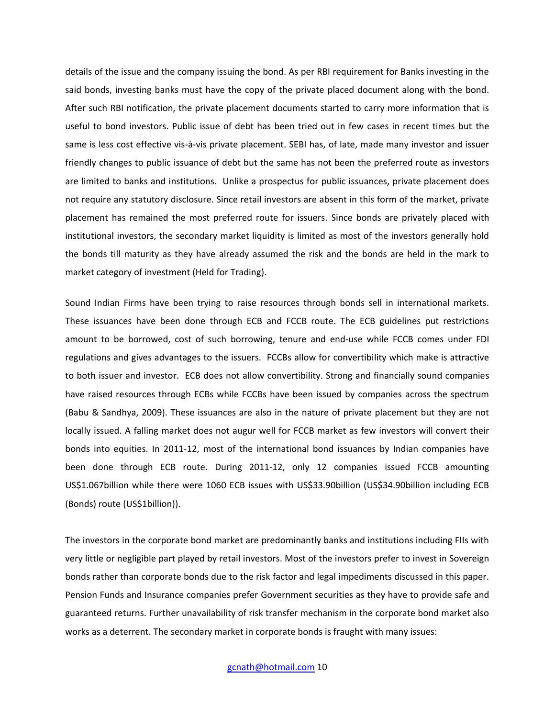details of the issue and the company issuing the bond. As per RBI requirement for Banks investing in the said bonds, investing banks must have the copy of the private placed document along with the bond. After such RBI notification, the private placement documents started to carry more information that is useful to bond investors. Public issue of debt has been tried out in few cases in recent times but the same is less cost effective vis-à-vis private placement. SEBI has, of late, made many investor and issuer friendly changes to public issuance of debt but the same has not been the preferred route as investors are limited to banks and institutions. Unlike a prospectus for public issuances, private placement does not require any statutory disclosure. Since retail investors are absent in this form of the market, private placement has remained the most preferred route for issuers. Since bonds are privately placed with institutional investors, the secondary market liquidity is limited as most of the investors generally hold the bonds till maturity as they have already assumed the risk and the bonds are held in the mark to market category of investment (Held for Trading).

Sound Indian Firms have been trying to raise resources through bonds sell in international markets. These issuances have been done through ECB and FCCB route. The ECB guidelines put restrictions amount to be borrowed, cost of such borrowing, tenure and end-use while FCCB comes under FDI regulations and gives advantages to the issuers. FCCBs allow for convertibility which make is attractive to both issuer and investor. ECB does not allow convertibility. Strong and financially sound companies have raised resources through ECBs while FCCBs have been issued by companies across the spectrum (Babu & Sandhya, 2009). These issuances are also in the nature of private placement but they are not locally issued. A falling market does not augur well for FCCB market as few investors will convert their bonds into equities. In 2011-12, most of the international bond issuances by Indian companies have been done through ECB route. During 2011-12, only 12 companies issued FCCB amounting US\$1.067billion while there were 1060 ECB issues with US\$33.90billion (US\$34.90billion including ECB (Bonds) route (US\$1billion)).

The investors in the corporate bond market are predominantly banks and institutions including FIIs with very little or negligible part played by retail investors. Most of the investors prefer to invest in Sovereign bonds rather than corporate bonds due to the risk factor and legal impediments discussed in this paper. Pension Funds and Insurance companies prefer Government securities as they have to provide safe and guaranteed returns. Further unavailability of risk transfer mechanism in the corporate bond market also works as a deterrent. The secondary market in corporate bonds is fraught with many issues: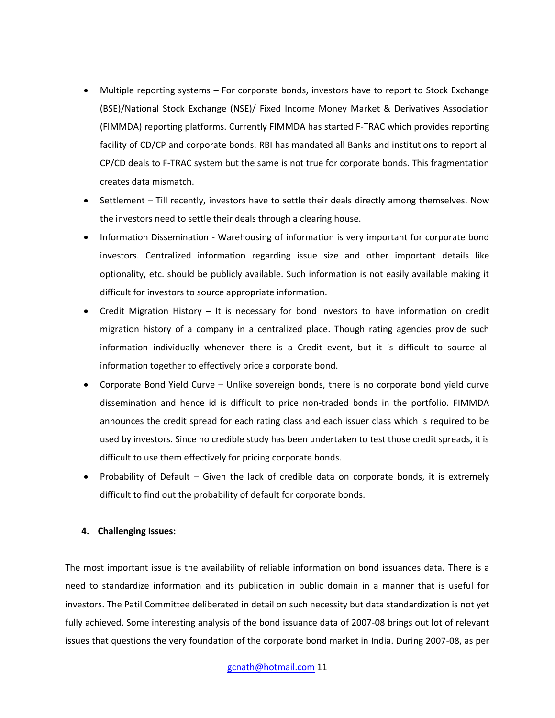- Multiple reporting systems For corporate bonds, investors have to report to Stock Exchange (BSE)/National Stock Exchange (NSE)/ Fixed Income Money Market & Derivatives Association (FIMMDA) reporting platforms. Currently FIMMDA has started F-TRAC which provides reporting facility of CD/CP and corporate bonds. RBI has mandated all Banks and institutions to report all CP/CD deals to F-TRAC system but the same is not true for corporate bonds. This fragmentation creates data mismatch.
- Settlement Till recently, investors have to settle their deals directly among themselves. Now the investors need to settle their deals through a clearing house.
- Information Dissemination Warehousing of information is very important for corporate bond investors. Centralized information regarding issue size and other important details like optionality, etc. should be publicly available. Such information is not easily available making it difficult for investors to source appropriate information.
- Credit Migration History It is necessary for bond investors to have information on credit migration history of a company in a centralized place. Though rating agencies provide such information individually whenever there is a Credit event, but it is difficult to source all information together to effectively price a corporate bond.
- Corporate Bond Yield Curve Unlike sovereign bonds, there is no corporate bond yield curve dissemination and hence id is difficult to price non-traded bonds in the portfolio. FIMMDA announces the credit spread for each rating class and each issuer class which is required to be used by investors. Since no credible study has been undertaken to test those credit spreads, it is difficult to use them effectively for pricing corporate bonds.
- Probability of Default Given the lack of credible data on corporate bonds, it is extremely difficult to find out the probability of default for corporate bonds.

# **4. Challenging Issues:**

The most important issue is the availability of reliable information on bond issuances data. There is a need to standardize information and its publication in public domain in a manner that is useful for investors. The Patil Committee deliberated in detail on such necessity but data standardization is not yet fully achieved. Some interesting analysis of the bond issuance data of 2007-08 brings out lot of relevant issues that questions the very foundation of the corporate bond market in India. During 2007-08, as per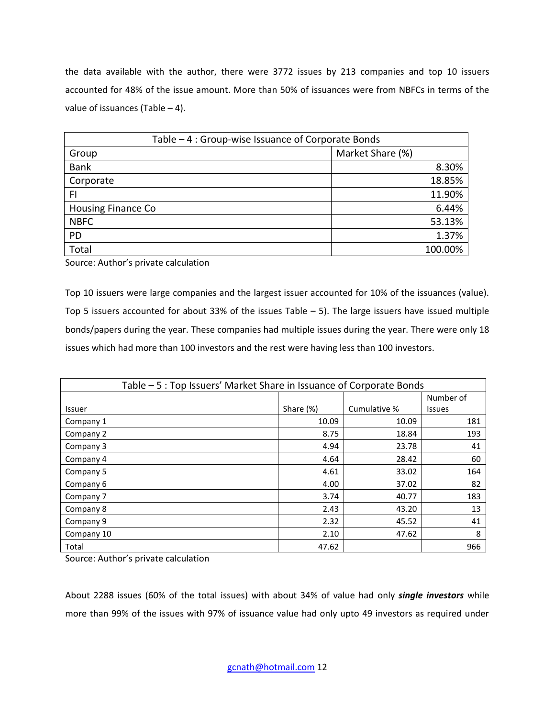the data available with the author, there were 3772 issues by 213 companies and top 10 issuers accounted for 48% of the issue amount. More than 50% of issuances were from NBFCs in terms of the value of issuances (Table  $-4$ ).

| Table – 4 : Group-wise Issuance of Corporate Bonds |                  |  |  |  |
|----------------------------------------------------|------------------|--|--|--|
| Group                                              | Market Share (%) |  |  |  |
| <b>Bank</b>                                        | 8.30%            |  |  |  |
| Corporate                                          | 18.85%           |  |  |  |
| FI                                                 | 11.90%           |  |  |  |
| <b>Housing Finance Co</b>                          | 6.44%            |  |  |  |
| <b>NBFC</b>                                        | 53.13%           |  |  |  |
| <b>PD</b>                                          | 1.37%            |  |  |  |
| Total                                              | 100.00%          |  |  |  |

Source: Author's private calculation

Top 10 issuers were large companies and the largest issuer accounted for 10% of the issuances (value). Top 5 issuers accounted for about 33% of the issues Table  $-$  5). The large issuers have issued multiple bonds/papers during the year. These companies had multiple issues during the year. There were only 18 issues which had more than 100 investors and the rest were having less than 100 investors.

| Table – 5 : Top Issuers' Market Share in Issuance of Corporate Bonds |           |              |               |  |  |  |  |
|----------------------------------------------------------------------|-----------|--------------|---------------|--|--|--|--|
|                                                                      |           |              | Number of     |  |  |  |  |
| Issuer                                                               | Share (%) | Cumulative % | <b>Issues</b> |  |  |  |  |
| Company 1                                                            | 10.09     | 10.09        | 181           |  |  |  |  |
| Company 2                                                            | 8.75      | 18.84        | 193           |  |  |  |  |
| Company 3                                                            | 4.94      | 23.78        | 41            |  |  |  |  |
| Company 4                                                            | 4.64      | 28.42        | 60            |  |  |  |  |
| Company 5                                                            | 4.61      | 33.02        | 164           |  |  |  |  |
| Company 6                                                            | 4.00      | 37.02        | 82            |  |  |  |  |
| Company 7                                                            | 3.74      | 40.77        | 183           |  |  |  |  |
| Company 8                                                            | 2.43      | 43.20        | 13            |  |  |  |  |
| Company 9                                                            | 2.32      | 45.52        | 41            |  |  |  |  |
| Company 10                                                           | 2.10      | 47.62        | 8             |  |  |  |  |
| Total                                                                | 47.62     |              | 966           |  |  |  |  |

Source: Author's private calculation

About 2288 issues (60% of the total issues) with about 34% of value had only *single investors* while more than 99% of the issues with 97% of issuance value had only upto 49 investors as required under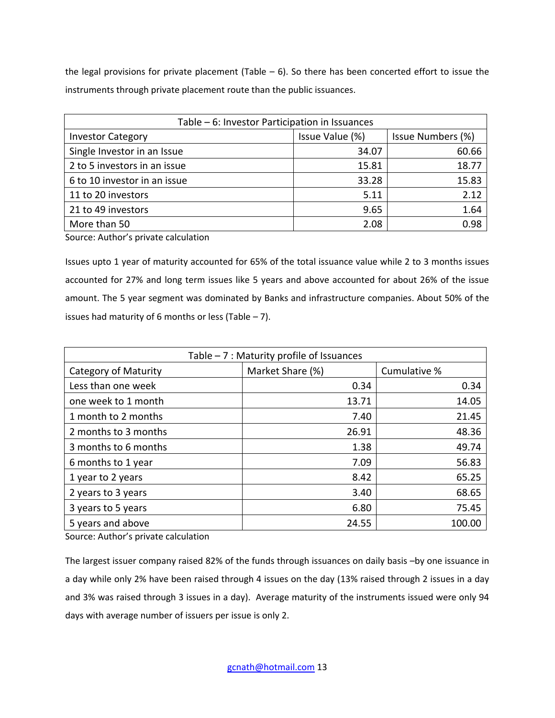the legal provisions for private placement (Table  $-6$ ). So there has been concerted effort to issue the instruments through private placement route than the public issuances.

| Table – 6: Investor Participation in Issuances |                 |                   |  |  |  |
|------------------------------------------------|-----------------|-------------------|--|--|--|
| <b>Investor Category</b>                       | Issue Value (%) | Issue Numbers (%) |  |  |  |
| Single Investor in an Issue                    | 34.07           | 60.66             |  |  |  |
| 2 to 5 investors in an issue                   | 15.81           | 18.77             |  |  |  |
| 6 to 10 investor in an issue                   | 33.28           | 15.83             |  |  |  |
| 11 to 20 investors                             | 5.11            | 2.12              |  |  |  |
| 21 to 49 investors                             | 9.65            | 1.64              |  |  |  |
| More than 50                                   | 2.08            | 0.98              |  |  |  |

Source: Author's private calculation

Issues upto 1 year of maturity accounted for 65% of the total issuance value while 2 to 3 months issues accounted for 27% and long term issues like 5 years and above accounted for about 26% of the issue amount. The 5 year segment was dominated by Banks and infrastructure companies. About 50% of the issues had maturity of 6 months or less (Table  $-7$ ).

| Table - 7 : Maturity profile of Issuances |                  |              |  |  |  |  |
|-------------------------------------------|------------------|--------------|--|--|--|--|
| Category of Maturity                      | Market Share (%) | Cumulative % |  |  |  |  |
| Less than one week                        | 0.34             | 0.34         |  |  |  |  |
| one week to 1 month                       | 13.71            | 14.05        |  |  |  |  |
| 1 month to 2 months                       | 7.40             | 21.45        |  |  |  |  |
| 2 months to 3 months                      | 26.91            | 48.36        |  |  |  |  |
| 3 months to 6 months                      | 1.38             | 49.74        |  |  |  |  |
| 6 months to 1 year                        | 7.09             | 56.83        |  |  |  |  |
| 1 year to 2 years                         | 8.42             | 65.25        |  |  |  |  |
| 2 years to 3 years                        | 3.40             | 68.65        |  |  |  |  |
| 3 years to 5 years                        | 6.80             | 75.45        |  |  |  |  |
| 5 years and above                         | 24.55            | 100.00       |  |  |  |  |

Source: Author's private calculation

The largest issuer company raised 82% of the funds through issuances on daily basis –by one issuance in a day while only 2% have been raised through 4 issues on the day (13% raised through 2 issues in a day and 3% was raised through 3 issues in a day). Average maturity of the instruments issued were only 94 days with average number of issuers per issue is only 2.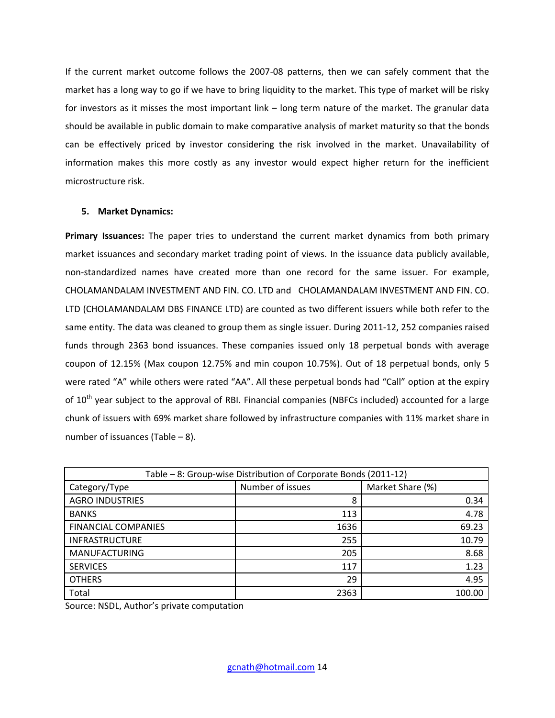If the current market outcome follows the 2007-08 patterns, then we can safely comment that the market has a long way to go if we have to bring liquidity to the market. This type of market will be risky for investors as it misses the most important link – long term nature of the market. The granular data should be available in public domain to make comparative analysis of market maturity so that the bonds can be effectively priced by investor considering the risk involved in the market. Unavailability of information makes this more costly as any investor would expect higher return for the inefficient microstructure risk.

# **5. Market Dynamics:**

**Primary Issuances:** The paper tries to understand the current market dynamics from both primary market issuances and secondary market trading point of views. In the issuance data publicly available, non-standardized names have created more than one record for the same issuer. For example, CHOLAMANDALAM INVESTMENT AND FIN. CO. LTD and CHOLAMANDALAM INVESTMENT AND FIN. CO. LTD (CHOLAMANDALAM DBS FINANCE LTD) are counted as two different issuers while both refer to the same entity. The data was cleaned to group them as single issuer. During 2011-12, 252 companies raised funds through 2363 bond issuances. These companies issued only 18 perpetual bonds with average coupon of 12.15% (Max coupon 12.75% and min coupon 10.75%). Out of 18 perpetual bonds, only 5 were rated "A" while others were rated "AA". All these perpetual bonds had "Call" option at the expiry of 10<sup>th</sup> year subject to the approval of RBI. Financial companies (NBFCs included) accounted for a large chunk of issuers with 69% market share followed by infrastructure companies with 11% market share in number of issuances (Table – 8).

| Table - 8: Group-wise Distribution of Corporate Bonds (2011-12) |                  |                  |  |  |  |
|-----------------------------------------------------------------|------------------|------------------|--|--|--|
| Category/Type                                                   | Number of issues | Market Share (%) |  |  |  |
| <b>AGRO INDUSTRIES</b>                                          | 8                | 0.34             |  |  |  |
| <b>BANKS</b>                                                    | 113              | 4.78             |  |  |  |
| <b>FINANCIAL COMPANIES</b>                                      | 1636             | 69.23            |  |  |  |
| <b>INFRASTRUCTURE</b>                                           | 255              | 10.79            |  |  |  |
| <b>MANUFACTURING</b>                                            | 205              | 8.68             |  |  |  |
| <b>SERVICES</b>                                                 | 117              | 1.23             |  |  |  |
| <b>OTHERS</b>                                                   | 29               | 4.95             |  |  |  |
| Total                                                           | 2363             | 100.00           |  |  |  |

Source: NSDL, Author's private computation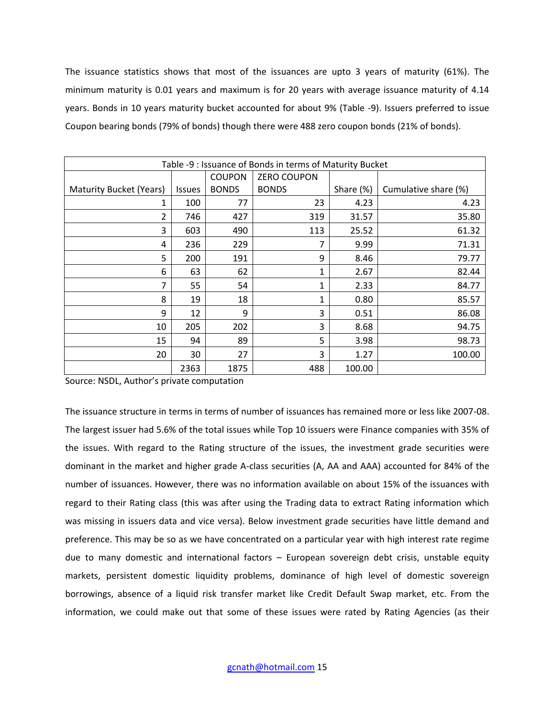The issuance statistics shows that most of the issuances are upto 3 years of maturity (61%). The minimum maturity is 0.01 years and maximum is for 20 years with average issuance maturity of 4.14 years. Bonds in 10 years maturity bucket accounted for about 9% (Table -9). Issuers preferred to issue Coupon bearing bonds (79% of bonds) though there were 488 zero coupon bonds (21% of bonds).

|                                | Table -9 : Issuance of Bonds in terms of Maturity Bucket |               |                    |           |                      |  |  |  |  |  |
|--------------------------------|----------------------------------------------------------|---------------|--------------------|-----------|----------------------|--|--|--|--|--|
|                                |                                                          | <b>COUPON</b> | <b>ZERO COUPON</b> |           |                      |  |  |  |  |  |
| <b>Maturity Bucket (Years)</b> | <b>Issues</b>                                            | <b>BONDS</b>  | <b>BONDS</b>       | Share (%) | Cumulative share (%) |  |  |  |  |  |
| 1                              | 100                                                      | 77            | 23                 | 4.23      | 4.23                 |  |  |  |  |  |
| 2                              | 746                                                      | 427           | 319                | 31.57     | 35.80                |  |  |  |  |  |
| 3                              | 603                                                      | 490           | 113                | 25.52     | 61.32                |  |  |  |  |  |
| 4                              | 236                                                      | 229           | 7                  | 9.99      | 71.31                |  |  |  |  |  |
| 5                              | 200                                                      | 191           | 9                  | 8.46      | 79.77                |  |  |  |  |  |
| 6                              | 63                                                       | 62            | 1                  | 2.67      | 82.44                |  |  |  |  |  |
| 7                              | 55                                                       | 54            | 1                  | 2.33      | 84.77                |  |  |  |  |  |
| 8                              | 19                                                       | 18            | 1                  | 0.80      | 85.57                |  |  |  |  |  |
| 9                              | 12                                                       | 9             | 3                  | 0.51      | 86.08                |  |  |  |  |  |
| 10                             | 205                                                      | 202           | 3                  | 8.68      | 94.75                |  |  |  |  |  |
| 15                             | 94                                                       | 89            | 5                  | 3.98      | 98.73                |  |  |  |  |  |
| 20                             | 30                                                       | 27            | 3                  | 1.27      | 100.00               |  |  |  |  |  |
|                                | 2363                                                     | 1875          | 488                | 100.00    |                      |  |  |  |  |  |

Source: NSDL, Author's private computation

The issuance structure in terms in terms of number of issuances has remained more or less like 2007-08. The largest issuer had 5.6% of the total issues while Top 10 issuers were Finance companies with 35% of the issues. With regard to the Rating structure of the issues, the investment grade securities were dominant in the market and higher grade A-class securities (A, AA and AAA) accounted for 84% of the number of issuances. However, there was no information available on about 15% of the issuances with regard to their Rating class (this was after using the Trading data to extract Rating information which was missing in issuers data and vice versa). Below investment grade securities have little demand and preference. This may be so as we have concentrated on a particular year with high interest rate regime due to many domestic and international factors – European sovereign debt crisis, unstable equity markets, persistent domestic liquidity problems, dominance of high level of domestic sovereign borrowings, absence of a liquid risk transfer market like Credit Default Swap market, etc. From the information, we could make out that some of these issues were rated by Rating Agencies (as their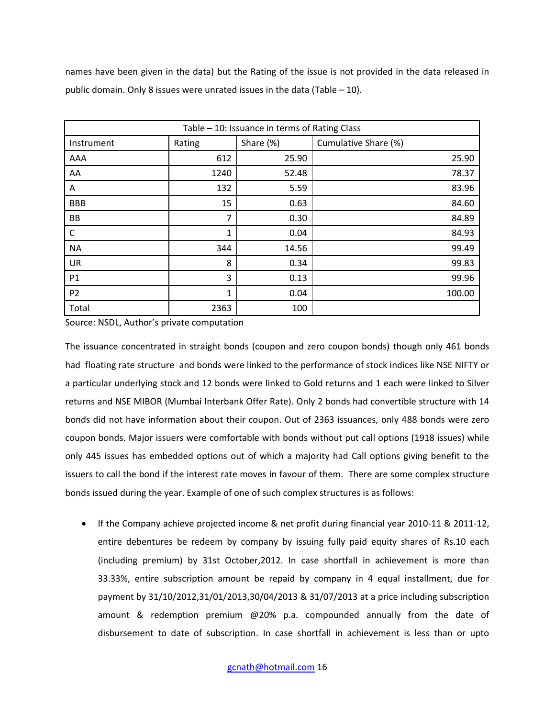names have been given in the data) but the Rating of the issue is not provided in the data released in public domain. Only 8 issues were unrated issues in the data (Table – 10).

| Table - 10: Issuance in terms of Rating Class |              |           |                      |  |  |  |  |
|-----------------------------------------------|--------------|-----------|----------------------|--|--|--|--|
| Instrument                                    | Rating       | Share (%) | Cumulative Share (%) |  |  |  |  |
| AAA                                           | 612          | 25.90     | 25.90                |  |  |  |  |
| AA                                            | 1240         | 52.48     | 78.37                |  |  |  |  |
| Α                                             | 132          | 5.59      | 83.96                |  |  |  |  |
| <b>BBB</b>                                    | 15           | 0.63      | 84.60                |  |  |  |  |
| BB                                            | 7            | 0.30      | 84.89                |  |  |  |  |
| $\mathsf{C}$                                  | 1            | 0.04      | 84.93                |  |  |  |  |
| <b>NA</b>                                     | 344          | 14.56     | 99.49                |  |  |  |  |
| <b>UR</b>                                     | 8            | 0.34      | 99.83                |  |  |  |  |
| P1                                            | 3            | 0.13      | 99.96                |  |  |  |  |
| P <sub>2</sub>                                | $\mathbf{1}$ | 0.04      | 100.00               |  |  |  |  |
| Total                                         | 2363         | 100       |                      |  |  |  |  |

Source: NSDL, Author's private computation

The issuance concentrated in straight bonds (coupon and zero coupon bonds) though only 461 bonds had floating rate structure and bonds were linked to the performance of stock indices like NSE NIFTY or a particular underlying stock and 12 bonds were linked to Gold returns and 1 each were linked to Silver returns and NSE MIBOR (Mumbai Interbank Offer Rate). Only 2 bonds had convertible structure with 14 bonds did not have information about their coupon. Out of 2363 issuances, only 488 bonds were zero coupon bonds. Major issuers were comfortable with bonds without put call options (1918 issues) while only 445 issues has embedded options out of which a majority had Call options giving benefit to the issuers to call the bond if the interest rate moves in favour of them. There are some complex structure bonds issued during the year. Example of one of such complex structures is as follows:

 If the Company achieve projected income & net profit during financial year 2010-11 & 2011-12, entire debentures be redeem by company by issuing fully paid equity shares of Rs.10 each (including premium) by 31st October,2012. In case shortfall in achievement is more than 33.33%, entire subscription amount be repaid by company in 4 equal installment, due for payment by 31/10/2012,31/01/2013,30/04/2013 & 31/07/2013 at a price including subscription amount & redemption premium @20% p.a. compounded annually from the date of disbursement to date of subscription. In case shortfall in achievement is less than or upto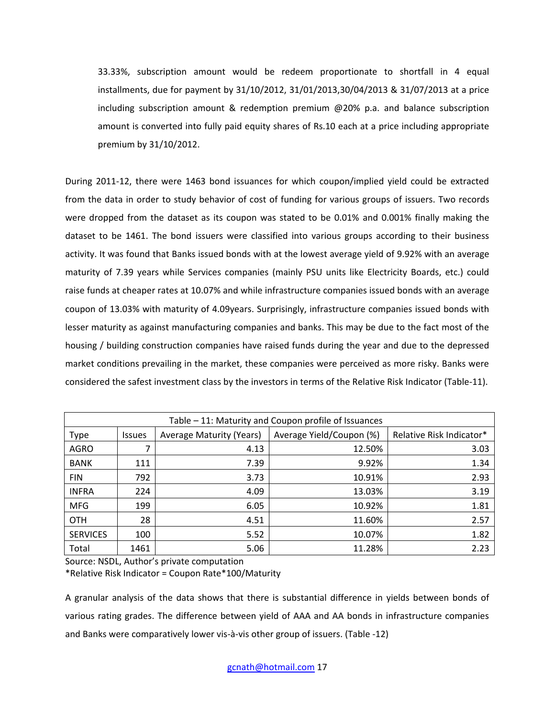33.33%, subscription amount would be redeem proportionate to shortfall in 4 equal installments, due for payment by 31/10/2012, 31/01/2013,30/04/2013 & 31/07/2013 at a price including subscription amount & redemption premium @20% p.a. and balance subscription amount is converted into fully paid equity shares of Rs.10 each at a price including appropriate premium by 31/10/2012.

During 2011-12, there were 1463 bond issuances for which coupon/implied yield could be extracted from the data in order to study behavior of cost of funding for various groups of issuers. Two records were dropped from the dataset as its coupon was stated to be 0.01% and 0.001% finally making the dataset to be 1461. The bond issuers were classified into various groups according to their business activity. It was found that Banks issued bonds with at the lowest average yield of 9.92% with an average maturity of 7.39 years while Services companies (mainly PSU units like Electricity Boards, etc.) could raise funds at cheaper rates at 10.07% and while infrastructure companies issued bonds with an average coupon of 13.03% with maturity of 4.09years. Surprisingly, infrastructure companies issued bonds with lesser maturity as against manufacturing companies and banks. This may be due to the fact most of the housing / building construction companies have raised funds during the year and due to the depressed market conditions prevailing in the market, these companies were perceived as more risky. Banks were considered the safest investment class by the investors in terms of the Relative Risk Indicator (Table-11).

| Table – 11: Maturity and Coupon profile of Issuances |               |                                 |                          |                          |  |  |
|------------------------------------------------------|---------------|---------------------------------|--------------------------|--------------------------|--|--|
| <b>Type</b>                                          | <b>Issues</b> | <b>Average Maturity (Years)</b> | Average Yield/Coupon (%) | Relative Risk Indicator* |  |  |
| <b>AGRO</b>                                          | 7             | 4.13                            | 12.50%                   | 3.03                     |  |  |
| <b>BANK</b>                                          | 111           | 7.39                            | 9.92%                    | 1.34                     |  |  |
| <b>FIN</b>                                           | 792           | 3.73                            | 10.91%                   | 2.93                     |  |  |
| <b>INFRA</b>                                         | 224           | 4.09                            | 13.03%                   | 3.19                     |  |  |
| <b>MFG</b>                                           | 199           | 6.05                            | 10.92%                   | 1.81                     |  |  |
| <b>OTH</b>                                           | 28            | 4.51                            | 11.60%                   | 2.57                     |  |  |
| <b>SERVICES</b>                                      | 100           | 5.52                            | 10.07%                   | 1.82                     |  |  |
| Total                                                | 1461          | 5.06                            | 11.28%                   | 2.23                     |  |  |

Source: NSDL, Author's private computation

\*Relative Risk Indicator = Coupon Rate\*100/Maturity

A granular analysis of the data shows that there is substantial difference in yields between bonds of various rating grades. The difference between yield of AAA and AA bonds in infrastructure companies and Banks were comparatively lower vis-à-vis other group of issuers. (Table -12)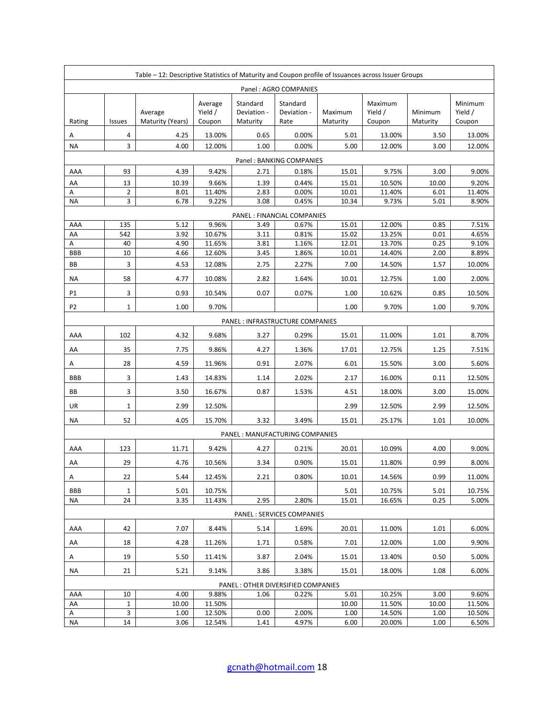|                | Table - 12: Descriptive Statistics of Maturity and Coupon profile of Issuances across Issuer Groups |                             |                              |                                     |                                      |                     |                              |                     |                              |  |  |
|----------------|-----------------------------------------------------------------------------------------------------|-----------------------------|------------------------------|-------------------------------------|--------------------------------------|---------------------|------------------------------|---------------------|------------------------------|--|--|
|                | Panel: AGRO COMPANIES                                                                               |                             |                              |                                     |                                      |                     |                              |                     |                              |  |  |
| Rating         | <b>Issues</b>                                                                                       | Average<br>Maturity (Years) | Average<br>Yield /<br>Coupon | Standard<br>Deviation -<br>Maturity | Standard<br>Deviation -<br>Rate      | Maximum<br>Maturity | Maximum<br>Yield /<br>Coupon | Minimum<br>Maturity | Minimum<br>Yield /<br>Coupon |  |  |
| Α              | 4                                                                                                   | 4.25                        | 13.00%                       | 0.65                                | 0.00%                                | 5.01                | 13.00%                       | 3.50                | 13.00%                       |  |  |
| <b>NA</b>      | 3                                                                                                   | 4.00                        | 12.00%                       | 1.00                                | 0.00%                                | 5.00                | 12.00%                       | 3.00                | 12.00%                       |  |  |
|                | Panel: BANKING COMPANIES                                                                            |                             |                              |                                     |                                      |                     |                              |                     |                              |  |  |
| AAA            | 93                                                                                                  | 4.39                        | 9.42%                        | 2.71                                | 0.18%                                | 15.01               | 9.75%                        | 3.00                | 9.00%                        |  |  |
| AA             | 13                                                                                                  | 10.39                       | 9.66%                        | 1.39                                | 0.44%                                | 15.01               | 10.50%                       | 10.00               | 9.20%                        |  |  |
| А              | $\overline{2}$                                                                                      | 8.01                        | 11.40%                       | 2.83                                | 0.00%                                | 10.01               | 11.40%                       | 6.01                | 11.40%                       |  |  |
| <b>NA</b>      | 3                                                                                                   | 6.78                        | 9.22%                        | 3.08                                | 0.45%                                | 10.34               | 9.73%                        | 5.01                | 8.90%                        |  |  |
| AAA            | 135                                                                                                 | 5.12                        | 9.96%                        | 3.49                                | PANEL : FINANCIAL COMPANIES<br>0.67% | 15.01               | 12.00%                       | 0.85                | 7.51%                        |  |  |
| AA             | 542                                                                                                 | 3.92                        | 10.67%                       | 3.11                                | 0.81%                                | 15.02               | 13.25%                       | 0.01                | 4.65%                        |  |  |
| А              | 40                                                                                                  | 4.90                        | 11.65%                       | 3.81                                | 1.16%                                | 12.01               | 13.70%                       | 0.25                | 9.10%                        |  |  |
| <b>BBB</b>     | 10                                                                                                  | 4.66                        | 12.60%                       | 3.45                                | 1.86%                                | 10.01               | 14.40%                       | 2.00                | 8.89%                        |  |  |
| BB             | 3                                                                                                   | 4.53                        | 12.08%                       | 2.75                                | 2.27%                                | 7.00                | 14.50%                       | 1.57                | 10.00%                       |  |  |
| ΝA             | 58                                                                                                  | 4.77                        | 10.08%                       | 2.82                                | 1.64%                                | 10.01               | 12.75%                       | 1.00                | 2.00%                        |  |  |
| P1             | 3                                                                                                   | 0.93                        | 10.54%                       | 0.07                                | 0.07%                                | 1.00                | 10.62%                       | 0.85                | 10.50%                       |  |  |
| P <sub>2</sub> | $\mathbf{1}$                                                                                        | 1.00                        | 9.70%                        |                                     |                                      | 1.00                | 9.70%                        | 1.00                | 9.70%                        |  |  |
|                |                                                                                                     |                             |                              |                                     | PANEL : INFRASTRUCTURE COMPANIES     |                     |                              |                     |                              |  |  |
| AAA            | 102                                                                                                 | 4.32                        | 9.68%                        | 3.27                                | 0.29%                                | 15.01               | 11.00%                       | 1.01                | 8.70%                        |  |  |
| AA             | 35                                                                                                  | 7.75                        | 9.86%                        | 4.27                                | 1.36%                                | 17.01               | 12.75%                       | 1.25                | 7.51%                        |  |  |
| A              | 28                                                                                                  | 4.59                        | 11.96%                       | 0.91                                | 2.07%                                | 6.01                | 15.50%                       | 3.00                | 5.60%                        |  |  |
| <b>BBB</b>     | 3                                                                                                   | 1.43                        | 14.83%                       | 1.14                                | 2.02%                                | 2.17                | 16.00%                       | 0.11                | 12.50%                       |  |  |
| BB             | 3                                                                                                   | 3.50                        | 16.67%                       | 0.87                                | 1.53%                                | 4.51                | 18.00%                       | 3.00                | 15.00%                       |  |  |
| UR             | $\mathbf{1}$                                                                                        | 2.99                        | 12.50%                       |                                     |                                      | 2.99                | 12.50%                       | 2.99                | 12.50%                       |  |  |
| ΝA             | 52                                                                                                  | 4.05                        | 15.70%                       | 3.32                                | 3.49%                                | 15.01               | 25.17%                       | 1.01                | 10.00%                       |  |  |
|                |                                                                                                     |                             |                              |                                     | PANEL : MANUFACTURING COMPANIES      |                     |                              |                     |                              |  |  |
| AAA            | 123                                                                                                 | 11.71                       | 9.42%                        | 4.27                                | 0.21%                                | 20.01               | 10.09%                       | 4.00                | 9.00%                        |  |  |
| AA             | 29                                                                                                  | 4.76                        | 10.56%                       | 3.34                                | 0.90%                                | 15.01               | 11.80%                       | 0.99                | 8.00%                        |  |  |
| А              | 22                                                                                                  | 5.44                        | 12.45%                       | 2.21                                | 0.80%                                | 10.01               | 14.56%                       | 0.99                | 11.00%                       |  |  |
| <b>BBB</b>     | $\mathbf{1}$                                                                                        | 5.01                        | 10.75%                       |                                     |                                      | 5.01                | 10.75%                       | 5.01                | 10.75%                       |  |  |
| ΝA             | 24                                                                                                  | 3.35                        | 11.43%                       | 2.95                                | 2.80%                                | 15.01               | 16.65%                       | 0.25                | 5.00%                        |  |  |
|                |                                                                                                     |                             |                              |                                     | PANEL : SERVICES COMPANIES           |                     |                              |                     |                              |  |  |
| AAA            | 42                                                                                                  | 7.07                        | 8.44%                        | 5.14                                | 1.69%                                | 20.01               | 11.00%                       | 1.01                | 6.00%                        |  |  |
| AA             | 18                                                                                                  | 4.28                        | 11.26%                       | 1.71                                | 0.58%                                | 7.01                | 12.00%                       | 1.00                | 9.90%                        |  |  |
| A              | 19                                                                                                  | 5.50                        | 11.41%                       | 3.87                                | 2.04%                                | 15.01               | 13.40%                       | 0.50                | 5.00%                        |  |  |
| ΝA             | 21                                                                                                  | 5.21                        | 9.14%                        | 3.86                                | 3.38%                                | 15.01               | 18.00%                       | 1.08                | 6.00%                        |  |  |
|                |                                                                                                     |                             |                              |                                     | PANEL : OTHER DIVERSIFIED COMPANIES  |                     |                              |                     |                              |  |  |
| AAA            | 10                                                                                                  | 4.00                        | 9.88%                        | 1.06                                | 0.22%                                | 5.01                | 10.25%                       | 3.00                | 9.60%                        |  |  |
| AA             | $\mathbf{1}$                                                                                        | 10.00                       | 11.50%                       |                                     |                                      | 10.00               | 11.50%                       | 10.00               | 11.50%                       |  |  |
| Α              | 3                                                                                                   | 1.00                        | 12.50%                       | 0.00                                | 2.00%                                | 1.00                | 14.50%                       | 1.00                | 10.50%                       |  |  |
| NA             | 14                                                                                                  | 3.06                        | 12.54%                       | 1.41                                | 4.97%                                | 6.00                | 20.00%                       | 1.00                | 6.50%                        |  |  |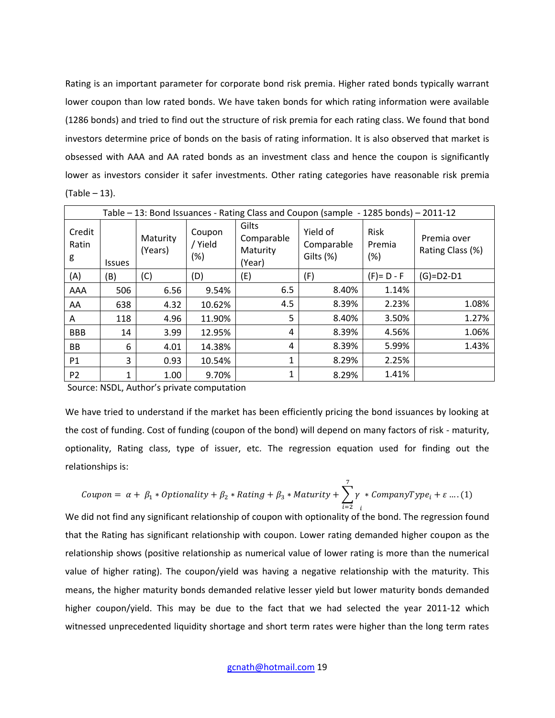Rating is an important parameter for corporate bond risk premia. Higher rated bonds typically warrant lower coupon than low rated bonds. We have taken bonds for which rating information were available (1286 bonds) and tried to find out the structure of risk premia for each rating class. We found that bond investors determine price of bonds on the basis of rating information. It is also observed that market is obsessed with AAA and AA rated bonds as an investment class and hence the coupon is significantly lower as investors consider it safer investments. Other rating categories have reasonable risk premia (Table – 13).

|                      | Table – 13: Bond Issuances - Rating Class and Coupon (sample - 1285 bonds) – 2011-12 |                     |                             |                                           |                                     |                          |                                 |  |  |  |  |  |
|----------------------|--------------------------------------------------------------------------------------|---------------------|-----------------------------|-------------------------------------------|-------------------------------------|--------------------------|---------------------------------|--|--|--|--|--|
| Credit<br>Ratin<br>g | <b>Issues</b>                                                                        | Maturity<br>(Years) | Coupon<br>/ Yield<br>$(\%)$ | Gilts<br>Comparable<br>Maturity<br>(Year) | Yield of<br>Comparable<br>Gilts (%) | Risk<br>Premia<br>$(\%)$ | Premia over<br>Rating Class (%) |  |  |  |  |  |
| (A)                  | (B)                                                                                  | (C)                 | (D)                         | (E)                                       | (F)                                 | $(F) = D - F$            | $(G)=D2-D1$                     |  |  |  |  |  |
| AAA                  | 506                                                                                  | 6.56                | 9.54%                       | 6.5                                       | 8.40%                               | 1.14%                    |                                 |  |  |  |  |  |
| AA                   | 638                                                                                  | 4.32                | 10.62%                      | 4.5                                       | 8.39%                               | 2.23%                    | 1.08%                           |  |  |  |  |  |
| A                    | 118                                                                                  | 4.96                | 11.90%                      | 5                                         | 8.40%                               | 3.50%                    | 1.27%                           |  |  |  |  |  |
| <b>BBB</b>           | 14                                                                                   | 3.99                | 12.95%                      | 4                                         | 8.39%                               | 4.56%                    | 1.06%                           |  |  |  |  |  |
| BB                   | 6                                                                                    | 4.01                | 14.38%                      | 4                                         | 8.39%                               | 5.99%                    | 1.43%                           |  |  |  |  |  |
| P <sub>1</sub>       | 3                                                                                    | 0.93                | 10.54%                      | 1                                         | 8.29%                               | 2.25%                    |                                 |  |  |  |  |  |
| P <sub>2</sub>       | 1                                                                                    | 1.00                | 9.70%                       | 1                                         | 8.29%                               | 1.41%                    |                                 |  |  |  |  |  |

Source: NSDL, Author's private computation

We have tried to understand if the market has been efficiently pricing the bond issuances by looking at the cost of funding. Cost of funding (coupon of the bond) will depend on many factors of risk - maturity, optionality, Rating class, type of issuer, etc. The regression equation used for finding out the relationships is:

$$
\textit{Coupon} = \alpha + \beta_1 * \textit{Optionality} + \beta_2 * \textit{Rating} + \beta_3 * \textit{Maturity} + \sum_{i=2}^{7} \gamma * \textit{CommonyType}_i + \varepsilon \dots (1)
$$

We did not find any significant relationship of coupon with optionality of the bond. The regression found that the Rating has significant relationship with coupon. Lower rating demanded higher coupon as the relationship shows (positive relationship as numerical value of lower rating is more than the numerical value of higher rating). The coupon/yield was having a negative relationship with the maturity. This means, the higher maturity bonds demanded relative lesser yield but lower maturity bonds demanded higher coupon/yield. This may be due to the fact that we had selected the year 2011-12 which witnessed unprecedented liquidity shortage and short term rates were higher than the long term rates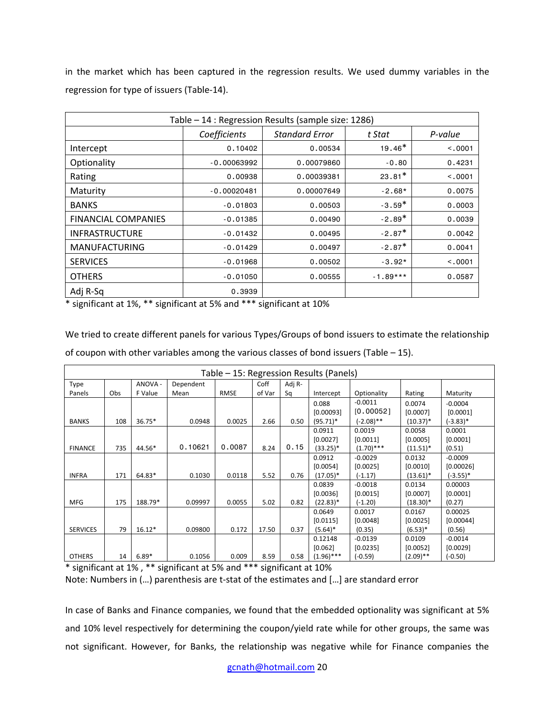in the market which has been captured in the regression results. We used dummy variables in the regression for type of issuers (Table-14).

|                            | Table - 14 : Regression Results (sample size: 1286) |                       |            |         |  |  |  |  |  |  |
|----------------------------|-----------------------------------------------------|-----------------------|------------|---------|--|--|--|--|--|--|
|                            | Coefficients                                        | <b>Standard Error</b> | t Stat     | P-value |  |  |  |  |  |  |
| Intercept                  | 0.10402                                             | 0.00534               | $19.46*$   | < .0001 |  |  |  |  |  |  |
| Optionality                | $-0.00063992$                                       | 0.00079860            | $-0.80$    | 0.4231  |  |  |  |  |  |  |
| Rating                     | 0.00938                                             | 0.00039381            | $23.81*$   | < 0.001 |  |  |  |  |  |  |
| Maturity                   | $-0.00020481$                                       | 0.00007649            | $-2.68*$   | 0.0075  |  |  |  |  |  |  |
| <b>BANKS</b>               | $-0.01803$                                          | 0.00503               | $-3.59*$   | 0.0003  |  |  |  |  |  |  |
| <b>FINANCIAL COMPANIES</b> | $-0.01385$                                          | 0.00490               | $-2.89*$   | 0.0039  |  |  |  |  |  |  |
| <b>INFRASTRUCTURE</b>      | $-0.01432$                                          | 0.00495               | $-2.87*$   | 0.0042  |  |  |  |  |  |  |
| <b>MANUFACTURING</b>       | $-0.01429$                                          | 0.00497               | $-2.87*$   | 0.0041  |  |  |  |  |  |  |
| <b>SERVICES</b>            | $-0.01968$                                          | 0.00502               | $-3.92*$   | < 0.001 |  |  |  |  |  |  |
| <b>OTHERS</b>              | $-0.01050$                                          | 0.00555               | $-1.89***$ | 0.0587  |  |  |  |  |  |  |
| Adj R-Sq                   | 0.3939                                              |                       |            |         |  |  |  |  |  |  |

\* significant at 1%, \*\* significant at 5% and \*\*\* significant at 10%

We tried to create different panels for various Types/Groups of bond issuers to estimate the relationship of coupon with other variables among the various classes of bond issuers (Table  $-15$ ).

|                 | Table – 15: Regression Results (Panels) |          |           |             |        |        |             |              |             |             |  |  |
|-----------------|-----------------------------------------|----------|-----------|-------------|--------|--------|-------------|--------------|-------------|-------------|--|--|
| Type            |                                         | ANOVA -  | Dependent |             | Coff   | Adj R- |             |              |             |             |  |  |
| Panels          | Obs                                     | F Value  | Mean      | <b>RMSE</b> | of Var | Sα     | Intercept   | Optionality  | Rating      | Maturity    |  |  |
|                 |                                         |          |           |             |        |        | 0.088       | $-0.0011$    | 0.0074      | $-0.0004$   |  |  |
|                 |                                         |          |           |             |        |        | [0.00093]   | [0.00052]    | [0.0007]    | [0.0001]    |  |  |
| <b>BANKS</b>    | 108                                     | $36.75*$ | 0.0948    | 0.0025      | 2.66   | 0.50   | $(95.71)^*$ | $(-2.08)$ ** | $(10.37)^*$ | (-3.83)*    |  |  |
|                 |                                         |          |           |             |        |        | 0.0911      | 0.0019       | 0.0058      | 0.0001      |  |  |
|                 |                                         |          |           |             |        |        | [0.0027]    | [0.0011]     | [0.0005]    | [0.0001]    |  |  |
| <b>FINANCE</b>  | 735                                     | 44.56*   | 0.10621   | 0.0087      | 8.24   | 0.15   | $(33.25)^*$ | $(1.70)$ *** | $(11.51)^*$ | (0.51)      |  |  |
|                 |                                         |          |           |             |        |        | 0.0912      | $-0.0029$    | 0.0132      | $-0.0009$   |  |  |
|                 |                                         |          |           |             |        |        | [0.0054]    | [0.0025]     | [0.0010]    | [0.00026]   |  |  |
| <b>INFRA</b>    | 171                                     | 64.83*   | 0.1030    | 0.0118      | 5.52   | 0.76   | $(17.05)^*$ | $(-1.17)$    | $(13.61)^*$ | $(-3.55)^*$ |  |  |
|                 |                                         |          |           |             |        |        | 0.0839      | $-0.0018$    | 0.0134      | 0.00003     |  |  |
|                 |                                         |          |           |             |        |        | [0.0036]    | [0.0015]     | [0.0007]    | [0.0001]    |  |  |
| <b>MFG</b>      | 175                                     | 188.79*  | 0.09997   | 0.0055      | 5.02   | 0.82   | $(22.83)^*$ | $(-1.20)$    | $(18.30)^*$ | (0.27)      |  |  |
|                 |                                         |          |           |             |        |        | 0.0649      | 0.0017       | 0.0167      | 0.00025     |  |  |
|                 |                                         |          |           |             |        |        | [0.0115]    | [0.0048]     | [0.0025]    | [0.00044]   |  |  |
| <b>SERVICES</b> | 79                                      | $16.12*$ | 0.09800   | 0.172       | 17.50  | 0.37   | $(5.64)^*$  | (0.35)       | $(6.53)*$   | (0.56)      |  |  |
|                 |                                         |          |           |             |        |        | 0.12148     | $-0.0139$    | 0.0109      | $-0.0014$   |  |  |
|                 |                                         |          |           |             |        |        | [0.062]     | [0.0235]     | [0.0052]    | [0.0029]    |  |  |
| <b>OTHERS</b>   | 14                                      | $6.89*$  | 0.1056    | 0.009       | 8.59   | 0.58   | (1.96)***   | (-0.59)      | $(2.09)$ ** | (-0.50)     |  |  |

\* significant at 1% , \*\* significant at 5% and \*\*\* significant at 10% Note: Numbers in (…) parenthesis are t-stat of the estimates and […] are standard error

In case of Banks and Finance companies, we found that the embedded optionality was significant at 5% and 10% level respectively for determining the coupon/yield rate while for other groups, the same was not significant. However, for Banks, the relationship was negative while for Finance companies the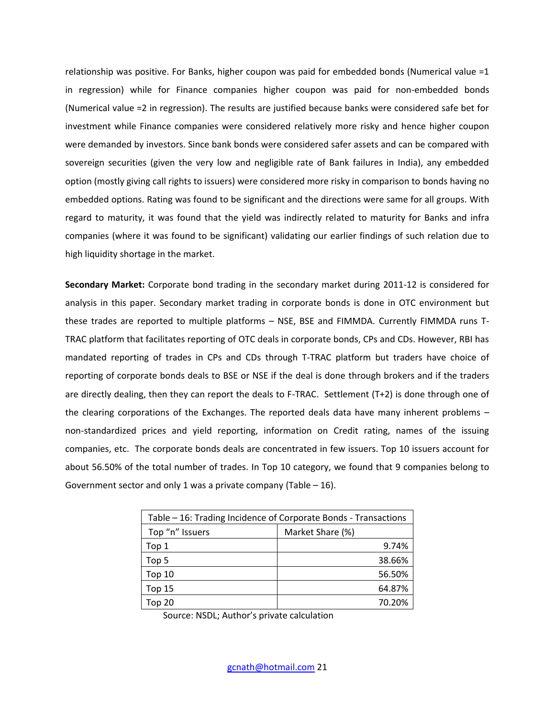relationship was positive. For Banks, higher coupon was paid for embedded bonds (Numerical value =1 in regression) while for Finance companies higher coupon was paid for non-embedded bonds (Numerical value =2 in regression). The results are justified because banks were considered safe bet for investment while Finance companies were considered relatively more risky and hence higher coupon were demanded by investors. Since bank bonds were considered safer assets and can be compared with sovereign securities (given the very low and negligible rate of Bank failures in India), any embedded option (mostly giving call rights to issuers) were considered more risky in comparison to bonds having no embedded options. Rating was found to be significant and the directions were same for all groups. With regard to maturity, it was found that the yield was indirectly related to maturity for Banks and infra companies (where it was found to be significant) validating our earlier findings of such relation due to high liquidity shortage in the market.

**Secondary Market:** Corporate bond trading in the secondary market during 2011-12 is considered for analysis in this paper. Secondary market trading in corporate bonds is done in OTC environment but these trades are reported to multiple platforms – NSE, BSE and FIMMDA. Currently FIMMDA runs T-TRAC platform that facilitates reporting of OTC deals in corporate bonds, CPs and CDs. However, RBI has mandated reporting of trades in CPs and CDs through T-TRAC platform but traders have choice of reporting of corporate bonds deals to BSE or NSE if the deal is done through brokers and if the traders are directly dealing, then they can report the deals to F-TRAC. Settlement (T+2) is done through one of the clearing corporations of the Exchanges. The reported deals data have many inherent problems – non-standardized prices and yield reporting, information on Credit rating, names of the issuing companies, etc. The corporate bonds deals are concentrated in few issuers. Top 10 issuers account for about 56.50% of the total number of trades. In Top 10 category, we found that 9 companies belong to Government sector and only 1 was a private company (Table  $-16$ ).

| Table – 16: Trading Incidence of Corporate Bonds - Transactions |                  |  |  |  |  |
|-----------------------------------------------------------------|------------------|--|--|--|--|
| Top "n" Issuers                                                 | Market Share (%) |  |  |  |  |
| Top 1                                                           | 9.74%            |  |  |  |  |
| Top 5                                                           | 38.66%           |  |  |  |  |
| Top $10$                                                        | 56.50%           |  |  |  |  |
| Top 15                                                          | 64.87%           |  |  |  |  |
| Top 20                                                          | 70.20%           |  |  |  |  |

Source: NSDL; Author's private calculation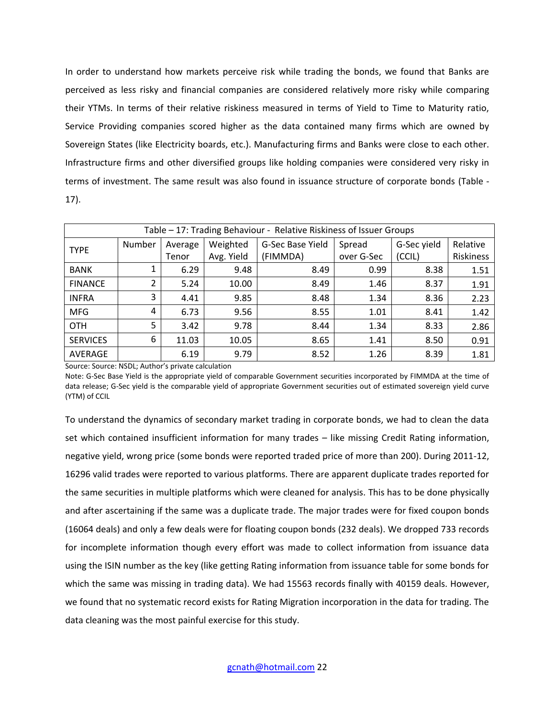In order to understand how markets perceive risk while trading the bonds, we found that Banks are perceived as less risky and financial companies are considered relatively more risky while comparing their YTMs. In terms of their relative riskiness measured in terms of Yield to Time to Maturity ratio, Service Providing companies scored higher as the data contained many firms which are owned by Sovereign States (like Electricity boards, etc.). Manufacturing firms and Banks were close to each other. Infrastructure firms and other diversified groups like holding companies were considered very risky in terms of investment. The same result was also found in issuance structure of corporate bonds (Table - 17).

|                 | Table – 17: Trading Behaviour - Relative Riskiness of Issuer Groups |         |            |                  |            |             |           |  |  |  |  |  |
|-----------------|---------------------------------------------------------------------|---------|------------|------------------|------------|-------------|-----------|--|--|--|--|--|
| <b>TYPE</b>     | Number                                                              | Average | Weighted   | G-Sec Base Yield | Spread     | G-Sec yield | Relative  |  |  |  |  |  |
|                 |                                                                     | Tenor   | Avg. Yield | (FIMMDA)         | over G-Sec | (CCIL)      | Riskiness |  |  |  |  |  |
| <b>BANK</b>     |                                                                     | 6.29    | 9.48       | 8.49             | 0.99       | 8.38        | 1.51      |  |  |  |  |  |
| <b>FINANCE</b>  | 2                                                                   | 5.24    | 10.00      | 8.49             | 1.46       | 8.37        | 1.91      |  |  |  |  |  |
| <b>INFRA</b>    | 3                                                                   | 4.41    | 9.85       | 8.48             | 1.34       | 8.36        | 2.23      |  |  |  |  |  |
| <b>MFG</b>      | 4                                                                   | 6.73    | 9.56       | 8.55             | 1.01       | 8.41        | 1.42      |  |  |  |  |  |
| <b>OTH</b>      | 5                                                                   | 3.42    | 9.78       | 8.44             | 1.34       | 8.33        | 2.86      |  |  |  |  |  |
| <b>SERVICES</b> | 6                                                                   | 11.03   | 10.05      | 8.65             | 1.41       | 8.50        | 0.91      |  |  |  |  |  |
| AVERAGE         |                                                                     | 6.19    | 9.79       | 8.52             | 1.26       | 8.39        | 1.81      |  |  |  |  |  |

Source: Source: NSDL; Author's private calculation

Note: G-Sec Base Yield is the appropriate yield of comparable Government securities incorporated by FIMMDA at the time of data release; G-Sec yield is the comparable yield of appropriate Government securities out of estimated sovereign yield curve (YTM) of CCIL

To understand the dynamics of secondary market trading in corporate bonds, we had to clean the data set which contained insufficient information for many trades – like missing Credit Rating information, negative yield, wrong price (some bonds were reported traded price of more than 200). During 2011-12, 16296 valid trades were reported to various platforms. There are apparent duplicate trades reported for the same securities in multiple platforms which were cleaned for analysis. This has to be done physically and after ascertaining if the same was a duplicate trade. The major trades were for fixed coupon bonds (16064 deals) and only a few deals were for floating coupon bonds (232 deals). We dropped 733 records for incomplete information though every effort was made to collect information from issuance data using the ISIN number as the key (like getting Rating information from issuance table for some bonds for which the same was missing in trading data). We had 15563 records finally with 40159 deals. However, we found that no systematic record exists for Rating Migration incorporation in the data for trading. The data cleaning was the most painful exercise for this study.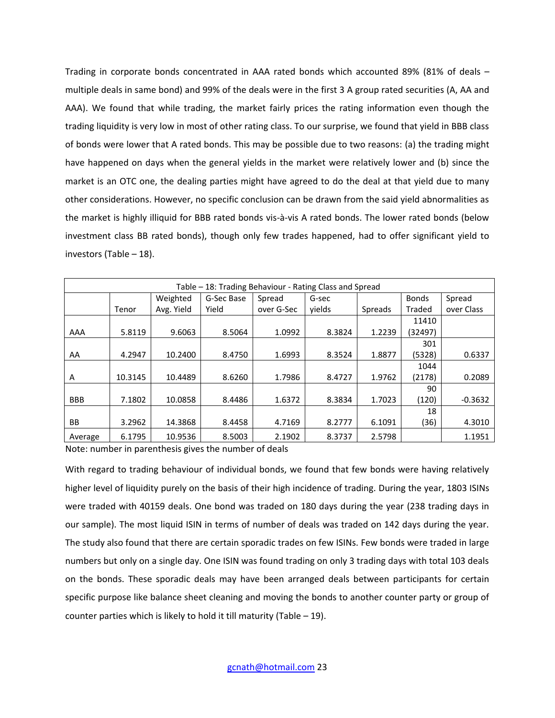Trading in corporate bonds concentrated in AAA rated bonds which accounted 89% (81% of deals – multiple deals in same bond) and 99% of the deals were in the first 3 A group rated securities (A, AA and AAA). We found that while trading, the market fairly prices the rating information even though the trading liquidity is very low in most of other rating class. To our surprise, we found that yield in BBB class of bonds were lower that A rated bonds. This may be possible due to two reasons: (a) the trading might have happened on days when the general yields in the market were relatively lower and (b) since the market is an OTC one, the dealing parties might have agreed to do the deal at that yield due to many other considerations. However, no specific conclusion can be drawn from the said yield abnormalities as the market is highly illiquid for BBB rated bonds vis-à-vis A rated bonds. The lower rated bonds (below investment class BB rated bonds), though only few trades happened, had to offer significant yield to investors (Table – 18).

|            | Table – 18: Trading Behaviour - Rating Class and Spread |            |            |            |        |                |              |            |  |  |  |  |  |
|------------|---------------------------------------------------------|------------|------------|------------|--------|----------------|--------------|------------|--|--|--|--|--|
|            | Weighted                                                |            | G-Sec Base | Spread     | G-sec  |                | <b>Bonds</b> | Spread     |  |  |  |  |  |
|            | Tenor                                                   | Avg. Yield | Yield      | over G-Sec | vields | <b>Spreads</b> | Traded       | over Class |  |  |  |  |  |
|            |                                                         |            |            |            |        |                | 11410        |            |  |  |  |  |  |
| AAA        | 5.8119                                                  | 9.6063     | 8.5064     | 1.0992     | 8.3824 | 1.2239         | (32497)      |            |  |  |  |  |  |
|            |                                                         |            |            |            |        |                | 301          |            |  |  |  |  |  |
| AA         | 4.2947                                                  | 10.2400    | 8.4750     | 1.6993     | 8.3524 | 1.8877         | (5328)       | 0.6337     |  |  |  |  |  |
|            |                                                         |            |            |            |        |                | 1044         |            |  |  |  |  |  |
| A          | 10.3145                                                 | 10.4489    | 8.6260     | 1.7986     | 8.4727 | 1.9762         | (2178)       | 0.2089     |  |  |  |  |  |
|            |                                                         |            |            |            |        |                | 90           |            |  |  |  |  |  |
| <b>BBB</b> | 7.1802                                                  | 10.0858    | 8.4486     | 1.6372     | 8.3834 | 1.7023         | (120)        | $-0.3632$  |  |  |  |  |  |
|            |                                                         |            |            |            |        |                | 18           |            |  |  |  |  |  |
| <b>BB</b>  | 3.2962                                                  | 14.3868    | 8.4458     | 4.7169     | 8.2777 | 6.1091         | (36)         | 4.3010     |  |  |  |  |  |
| Average    | 6.1795                                                  | 10.9536    | 8.5003     | 2.1902     | 8.3737 | 2.5798         |              | 1.1951     |  |  |  |  |  |

Note: number in parenthesis gives the number of deals

With regard to trading behaviour of individual bonds, we found that few bonds were having relatively higher level of liquidity purely on the basis of their high incidence of trading. During the year, 1803 ISINs were traded with 40159 deals. One bond was traded on 180 days during the year (238 trading days in our sample). The most liquid ISIN in terms of number of deals was traded on 142 days during the year. The study also found that there are certain sporadic trades on few ISINs. Few bonds were traded in large numbers but only on a single day. One ISIN was found trading on only 3 trading days with total 103 deals on the bonds. These sporadic deals may have been arranged deals between participants for certain specific purpose like balance sheet cleaning and moving the bonds to another counter party or group of counter parties which is likely to hold it till maturity (Table  $-19$ ).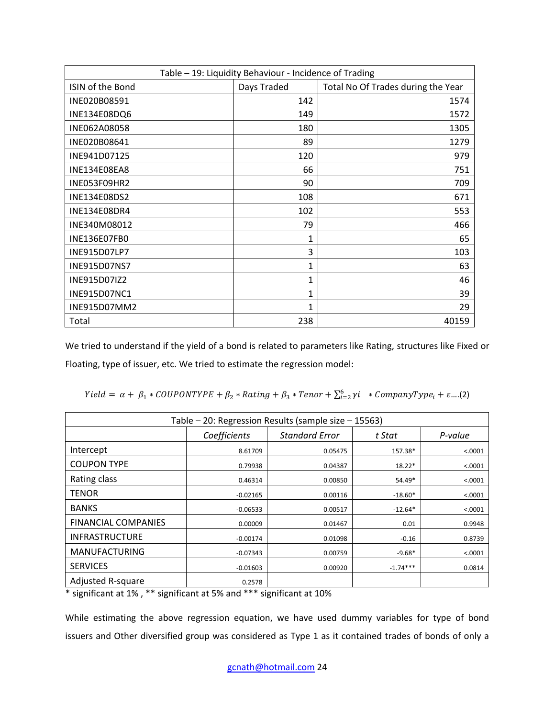| Table - 19: Liquidity Behaviour - Incidence of Trading |              |                                    |  |  |  |  |  |  |
|--------------------------------------------------------|--------------|------------------------------------|--|--|--|--|--|--|
| ISIN of the Bond                                       | Days Traded  | Total No Of Trades during the Year |  |  |  |  |  |  |
| INE020B08591                                           | 142          | 1574                               |  |  |  |  |  |  |
| INE134E08DQ6                                           | 149          | 1572                               |  |  |  |  |  |  |
| INE062A08058                                           | 180          | 1305                               |  |  |  |  |  |  |
| INE020B08641                                           | 89           | 1279                               |  |  |  |  |  |  |
| INE941D07125                                           | 120          | 979                                |  |  |  |  |  |  |
| <b>INE134E08EA8</b>                                    | 66           | 751                                |  |  |  |  |  |  |
| INE053F09HR2                                           | 90           | 709                                |  |  |  |  |  |  |
| INE134E08DS2                                           | 108          | 671                                |  |  |  |  |  |  |
| INE134E08DR4                                           | 102          | 553                                |  |  |  |  |  |  |
| INE340M08012                                           | 79           | 466                                |  |  |  |  |  |  |
| <b>INE136E07FB0</b>                                    | $\mathbf{1}$ | 65                                 |  |  |  |  |  |  |
| INE915D07LP7                                           | 3            | 103                                |  |  |  |  |  |  |
| INE915D07NS7                                           | 1            | 63                                 |  |  |  |  |  |  |
| INE915D07IZ2                                           | 1            | 46                                 |  |  |  |  |  |  |
| INE915D07NC1                                           | 1            | 39                                 |  |  |  |  |  |  |
| INE915D07MM2                                           | $\mathbf{1}$ | 29                                 |  |  |  |  |  |  |
| Total                                                  | 238          | 40159                              |  |  |  |  |  |  |

We tried to understand if the yield of a bond is related to parameters like Rating, structures like Fixed or Floating, type of issuer, etc. We tried to estimate the regression model:

 $Yield = \alpha + \beta_1 * COUPONTYPE + \beta_2 * Rating + \beta_3 * Tenor + \sum_{i=2}^{6} \gamma_i * CompanyType_i + \varepsilon ....(2)$ 

| Table - 20: Regression Results (sample size - 15563) |              |                       |            |         |  |  |  |  |  |  |
|------------------------------------------------------|--------------|-----------------------|------------|---------|--|--|--|--|--|--|
|                                                      | Coefficients | <b>Standard Error</b> | t Stat     | P-value |  |  |  |  |  |  |
| Intercept                                            | 8.61709      | 0.05475               | 157.38*    | < .0001 |  |  |  |  |  |  |
| <b>COUPON TYPE</b>                                   | 0.79938      | 0.04387               | $18.22*$   | < .0001 |  |  |  |  |  |  |
| Rating class                                         | 0.46314      | 0.00850               | $54.49*$   | < .0001 |  |  |  |  |  |  |
| <b>TENOR</b>                                         | $-0.02165$   | 0.00116               | $-18.60*$  | < .0001 |  |  |  |  |  |  |
| <b>BANKS</b>                                         | $-0.06533$   | 0.00517               | $-12.64*$  | < .0001 |  |  |  |  |  |  |
| <b>FINANCIAL COMPANIES</b>                           | 0.00009      | 0.01467               | 0.01       | 0.9948  |  |  |  |  |  |  |
| <b>INFRASTRUCTURE</b>                                | $-0.00174$   | 0.01098               | $-0.16$    | 0.8739  |  |  |  |  |  |  |
| <b>MANUFACTURING</b>                                 | $-0.07343$   | 0.00759               | $-9.68*$   | < .0001 |  |  |  |  |  |  |
| <b>SERVICES</b>                                      | $-0.01603$   | 0.00920               | $-1.74***$ | 0.0814  |  |  |  |  |  |  |
| Adjusted R-square                                    | 0.2578       |                       |            |         |  |  |  |  |  |  |

\* significant at 1% , \*\* significant at 5% and \*\*\* significant at 10%

While estimating the above regression equation, we have used dummy variables for type of bond issuers and Other diversified group was considered as Type 1 as it contained trades of bonds of only a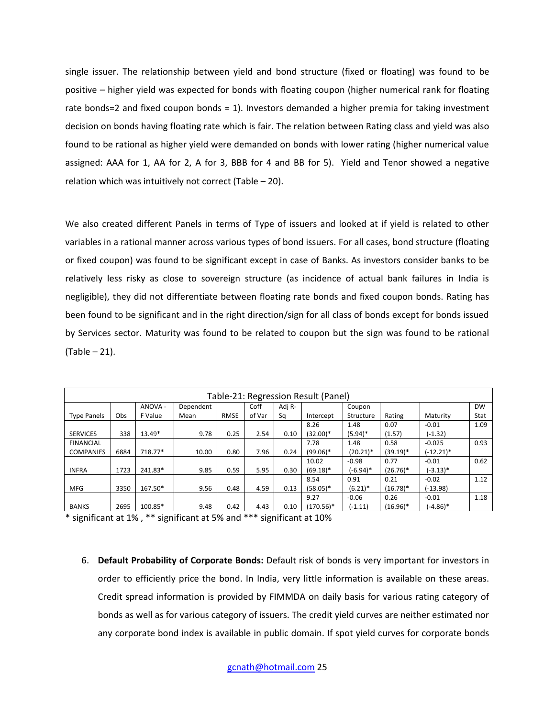single issuer. The relationship between yield and bond structure (fixed or floating) was found to be positive – higher yield was expected for bonds with floating coupon (higher numerical rank for floating rate bonds=2 and fixed coupon bonds = 1). Investors demanded a higher premia for taking investment decision on bonds having floating rate which is fair. The relation between Rating class and yield was also found to be rational as higher yield were demanded on bonds with lower rating (higher numerical value assigned: AAA for 1, AA for 2, A for 3, BBB for 4 and BB for 5). Yield and Tenor showed a negative relation which was intuitively not correct (Table – 20).

We also created different Panels in terms of Type of issuers and looked at if yield is related to other variables in a rational manner across various types of bond issuers. For all cases, bond structure (floating or fixed coupon) was found to be significant except in case of Banks. As investors consider banks to be relatively less risky as close to sovereign structure (as incidence of actual bank failures in India is negligible), they did not differentiate between floating rate bonds and fixed coupon bonds. Rating has been found to be significant and in the right direction/sign for all class of bonds except for bonds issued by Services sector. Maturity was found to be related to coupon but the sign was found to be rational (Table – 21).

|                    | Table-21: Regression Result (Panel) |         |           |             |        |        |              |             |             |              |           |  |  |
|--------------------|-------------------------------------|---------|-----------|-------------|--------|--------|--------------|-------------|-------------|--------------|-----------|--|--|
|                    |                                     | ANOVA - | Dependent |             | Coff   | Adj R- |              | Coupon      |             |              | <b>DW</b> |  |  |
| <b>Type Panels</b> | Obs                                 | F Value | Mean      | <b>RMSE</b> | of Var | Sq     | Intercept    | Structure   | Rating      | Maturity     | Stat      |  |  |
|                    |                                     |         |           |             |        |        | 8.26         | 1.48        | 0.07        | $-0.01$      | 1.09      |  |  |
| <b>SERVICES</b>    | 338                                 | 13.49*  | 9.78      | 0.25        | 2.54   | 0.10   | $(32.00)*$   | $(5.94)^*$  | (1.57)      | $(-1.32)$    |           |  |  |
| <b>FINANCIAL</b>   |                                     |         |           |             |        |        | 7.78         | 1.48        | 0.58        | $-0.025$     | 0.93      |  |  |
| <b>COMPANIES</b>   | 6884                                | 718.77* | 10.00     | 0.80        | 7.96   | 0.24   | $(99.06)*$   | $(20.21)^*$ | $(39.19)^*$ | $(-12.21)^*$ |           |  |  |
|                    |                                     |         |           |             |        |        | 10.02        | $-0.98$     | 0.77        | $-0.01$      | 0.62      |  |  |
| <b>INFRA</b>       | 1723                                | 241.83* | 9.85      | 0.59        | 5.95   | 0.30   | $(69.18)$ *  | (-6.94)*    | $(26.76)^*$ | $(-3.13)*$   |           |  |  |
|                    |                                     |         |           |             |        |        | 8.54         | 0.91        | 0.21        | $-0.02$      | 1.12      |  |  |
| <b>MFG</b>         | 3350                                | 167.50* | 9.56      | 0.48        | 4.59   | 0.13   | $(58.05)^*$  | $(6.21)^*$  | $(16.78)^*$ | (-13.98)     |           |  |  |
|                    |                                     |         |           |             |        |        | 9.27         | $-0.06$     | 0.26        | $-0.01$      | 1.18      |  |  |
| <b>BANKS</b>       | 2695                                | 100.85* | 9.48      | 0.42        | 4.43   | 0.10   | $(170.56)^*$ | (-1.11)     | $(16.96)^*$ | $(-4.86)*$   |           |  |  |

\* significant at 1% , \*\* significant at 5% and \*\*\* significant at 10%

6. **Default Probability of Corporate Bonds:** Default risk of bonds is very important for investors in order to efficiently price the bond. In India, very little information is available on these areas. Credit spread information is provided by FIMMDA on daily basis for various rating category of bonds as well as for various category of issuers. The credit yield curves are neither estimated nor any corporate bond index is available in public domain. If spot yield curves for corporate bonds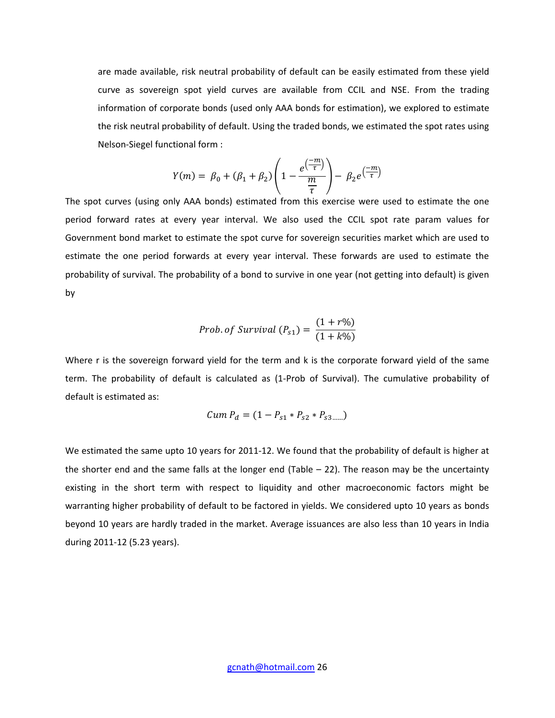are made available, risk neutral probability of default can be easily estimated from these yield curve as sovereign spot yield curves are available from CCIL and NSE. From the trading information of corporate bonds (used only AAA bonds for estimation), we explored to estimate the risk neutral probability of default. Using the traded bonds, we estimated the spot rates using Nelson-Siegel functional form :

$$
Y(m) = \beta_0 + (\beta_1 + \beta_2) \left( 1 - \frac{e^{\left(\frac{-m}{\tau}\right)}}{\frac{m}{\tau}} \right) - \beta_2 e^{\left(\frac{-m}{\tau}\right)}
$$

The spot curves (using only AAA bonds) estimated from this exercise were used to estimate the one period forward rates at every year interval. We also used the CCIL spot rate param values for Government bond market to estimate the spot curve for sovereign securities market which are used to estimate the one period forwards at every year interval. These forwards are used to estimate the probability of survival. The probability of a bond to survive in one year (not getting into default) is given by

*Prob. of Survival* 
$$
(P_{s1}) = \frac{(1+r\%)}{(1+k\%)}
$$

Where r is the sovereign forward yield for the term and k is the corporate forward yield of the same term. The probability of default is calculated as (1-Prob of Survival). The cumulative probability of default is estimated as:

$$
Cum P_d = (1 - P_{s1} * P_{s2} * P_{s3......})
$$

We estimated the same upto 10 years for 2011-12. We found that the probability of default is higher at the shorter end and the same falls at the longer end (Table – 22). The reason may be the uncertainty existing in the short term with respect to liquidity and other macroeconomic factors might be warranting higher probability of default to be factored in yields. We considered upto 10 years as bonds beyond 10 years are hardly traded in the market. Average issuances are also less than 10 years in India during 2011-12 (5.23 years).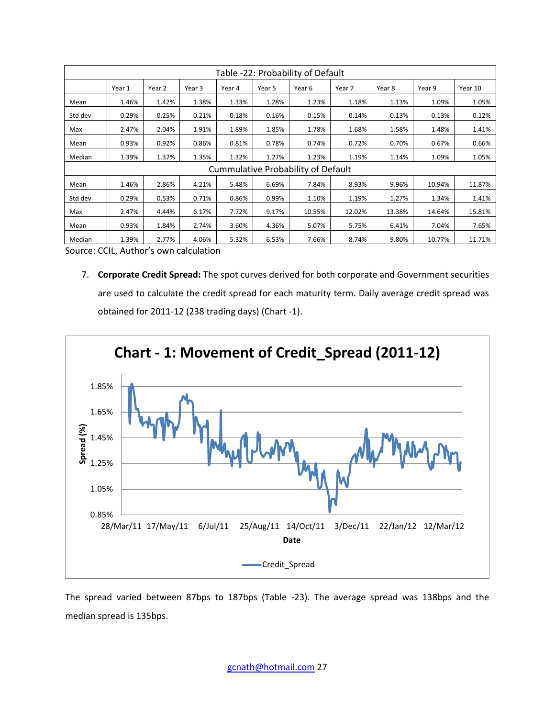|         | Table -22: Probability of Default |        |        |        |        |                                    |        |        |        |         |  |  |
|---------|-----------------------------------|--------|--------|--------|--------|------------------------------------|--------|--------|--------|---------|--|--|
|         | Year 1                            | Year 2 | Year 3 | Year 4 | Year 5 | Year 6                             | Year 7 | Year 8 | Year 9 | Year 10 |  |  |
| Mean    | 1.46%                             | 1.42%  | 1.38%  | 1.33%  | 1.28%  | 1.23%                              | 1.18%  | 1.13%  | 1.09%  | 1.05%   |  |  |
| Std dev | 0.29%                             | 0.25%  | 0.21%  | 0.18%  | 0.16%  | 0.15%                              | 0.14%  | 0.13%  | 0.13%  | 0.12%   |  |  |
| Max     | 2.47%                             | 2.04%  | 1.91%  | 1.89%  | 1.85%  | 1.78%                              | 1.68%  | 1.58%  | 1.48%  | 1.41%   |  |  |
| Mean    | 0.93%                             | 0.92%  | 0.86%  | 0.81%  | 0.78%  | 0.74%                              | 0.72%  | 0.70%  | 0.67%  | 0.66%   |  |  |
| Median  | 1.39%                             | 1.37%  | 1.35%  | 1.32%  | 1.27%  | 1.23%                              | 1.19%  | 1.14%  | 1.09%  | 1.05%   |  |  |
|         |                                   |        |        |        |        | Cummulative Probability of Default |        |        |        |         |  |  |
| Mean    | 1.46%                             | 2.86%  | 4.21%  | 5.48%  | 6.69%  | 7.84%                              | 8.93%  | 9.96%  | 10.94% | 11.87%  |  |  |
| Std dev | 0.29%                             | 0.53%  | 0.71%  | 0.86%  | 0.99%  | 1.10%                              | 1.19%  | 1.27%  | 1.34%  | 1.41%   |  |  |
| Max     | 2.47%                             | 4.44%  | 6.17%  | 7.72%  | 9.17%  | 10.55%                             | 12.02% | 13.38% | 14.64% | 15.81%  |  |  |
| Mean    | 0.93%                             | 1.84%  | 2.74%  | 3.60%  | 4.36%  | 5.07%                              | 5.75%  | 6.41%  | 7.04%  | 7.65%   |  |  |
| Median  | 1.39%                             | 2.77%  | 4.06%  | 5.32%  | 6.53%  | 7.66%                              | 8.74%  | 9.80%  | 10.77% | 11.71%  |  |  |

Source: CCIL, Author's own calculation

7. **Corporate Credit Spread:** The spot curves derived for both corporate and Government securities are used to calculate the credit spread for each maturity term. Daily average credit spread was obtained for 2011-12 (238 trading days) (Chart -1).



The spread varied between 87bps to 187bps (Table -23). The average spread was 138bps and the median spread is 135bps.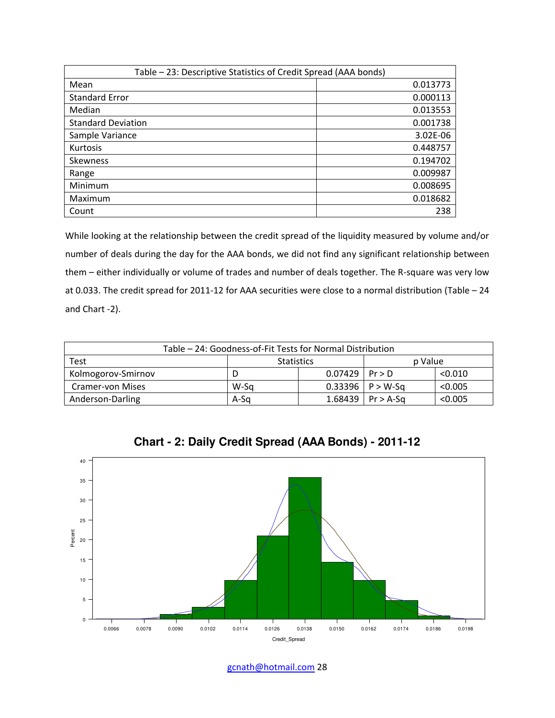| Table - 23: Descriptive Statistics of Credit Spread (AAA bonds) |          |  |  |  |  |  |  |
|-----------------------------------------------------------------|----------|--|--|--|--|--|--|
| Mean                                                            | 0.013773 |  |  |  |  |  |  |
| <b>Standard Error</b>                                           | 0.000113 |  |  |  |  |  |  |
| Median                                                          | 0.013553 |  |  |  |  |  |  |
| <b>Standard Deviation</b>                                       | 0.001738 |  |  |  |  |  |  |
| Sample Variance                                                 | 3.02E-06 |  |  |  |  |  |  |
| <b>Kurtosis</b>                                                 | 0.448757 |  |  |  |  |  |  |
| <b>Skewness</b>                                                 | 0.194702 |  |  |  |  |  |  |
| Range                                                           | 0.009987 |  |  |  |  |  |  |
| Minimum                                                         | 0.008695 |  |  |  |  |  |  |
| Maximum                                                         | 0.018682 |  |  |  |  |  |  |
| Count                                                           | 238      |  |  |  |  |  |  |

While looking at the relationship between the credit spread of the liquidity measured by volume and/or number of deals during the day for the AAA bonds, we did not find any significant relationship between them – either individually or volume of trades and number of deals together. The R-square was very low at 0.033. The credit spread for 2011-12 for AAA securities were close to a normal distribution (Table – 24 and Chart -2).

| Table - 24: Goodness-of-Fit Tests for Normal Distribution |      |                    |                      |         |  |  |  |  |  |
|-----------------------------------------------------------|------|--------------------|----------------------|---------|--|--|--|--|--|
| <b>Test</b><br>p Value<br><b>Statistics</b>               |      |                    |                      |         |  |  |  |  |  |
| Kolmogorov-Smirnov                                        |      | $0.07429$   Pr > D |                      | < 0.010 |  |  |  |  |  |
| <b>Cramer-von Mises</b>                                   | W-Sa |                    | $0.33396$   P > W-Sq | < 0.005 |  |  |  |  |  |
| Anderson-Darling                                          | A-Sa |                    | 1.68439   Pr > A-Sq  | < 0.005 |  |  |  |  |  |



**Chart - 2: Daily Credit Spread (AAA Bonds) - 2011-12**

gcnath@hotmail.com 28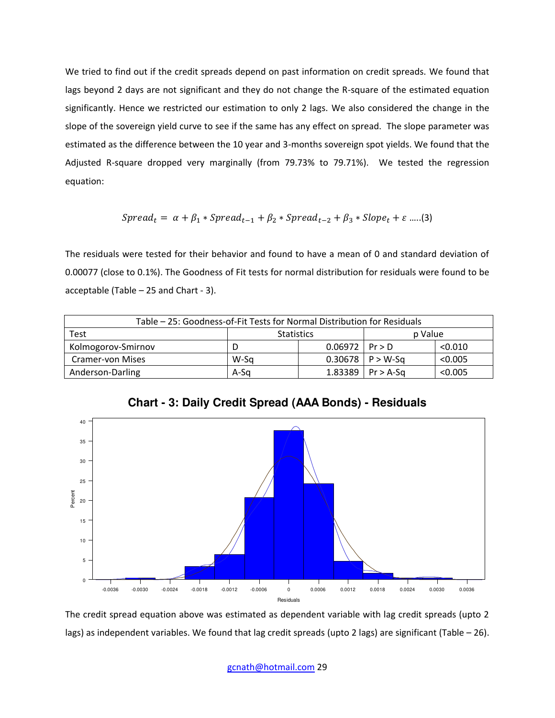We tried to find out if the credit spreads depend on past information on credit spreads. We found that lags beyond 2 days are not significant and they do not change the R-square of the estimated equation significantly. Hence we restricted our estimation to only 2 lags. We also considered the change in the slope of the sovereign yield curve to see if the same has any effect on spread. The slope parameter was estimated as the difference between the 10 year and 3-months sovereign spot yields. We found that the Adjusted R-square dropped very marginally (from 79.73% to 79.71%). We tested the regression equation:

$$
Spread_t = \alpha + \beta_1 * Spread_{t-1} + \beta_2 * Spread_{t-2} + \beta_3 * Slope_t + \varepsilon
$$
.....(3)

The residuals were tested for their behavior and found to have a mean of 0 and standard deviation of 0.00077 (close to 0.1%). The Goodness of Fit tests for normal distribution for residuals were found to be acceptable (Table – 25 and Chart - 3).

| Table - 25: Goodness-of-Fit Tests for Normal Distribution for Residuals |                   |                    |                      |         |  |  |  |
|-------------------------------------------------------------------------|-------------------|--------------------|----------------------|---------|--|--|--|
| Test                                                                    | <b>Statistics</b> |                    | p Value              |         |  |  |  |
| Kolmogorov-Smirnov                                                      |                   | $0.06972$   Pr > D |                      | < 0.010 |  |  |  |
| <b>Cramer-von Mises</b>                                                 | W-Sa              |                    | $0.30678$   P > W-Sq | < 0.005 |  |  |  |
| Anderson-Darling                                                        | A-Sa              |                    | 1.83389   Pr > A-Sq  | < 0.005 |  |  |  |



**Chart - 3: Daily Credit Spread (AAA Bonds) - Residuals**

The credit spread equation above was estimated as dependent variable with lag credit spreads (upto 2 lags) as independent variables. We found that lag credit spreads (upto 2 lags) are significant (Table – 26).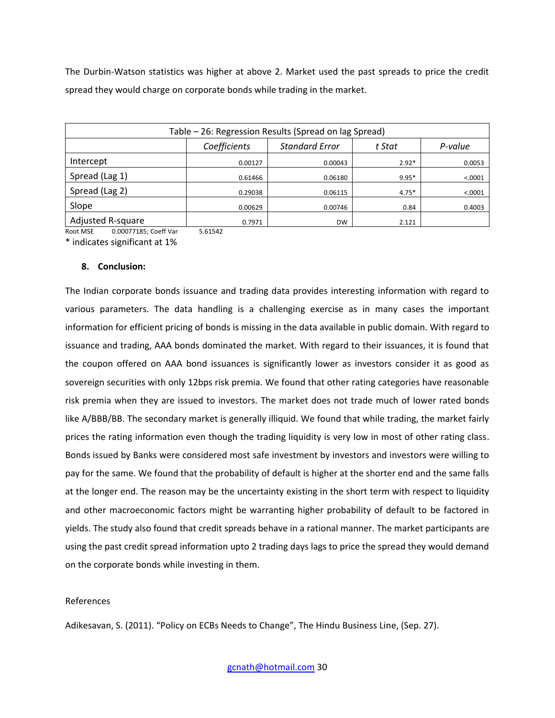The Durbin-Watson statistics was higher at above 2. Market used the past spreads to price the credit spread they would charge on corporate bonds while trading in the market.

| Table – 26: Regression Results (Spread on lag Spread) |              |                       |         |         |  |  |
|-------------------------------------------------------|--------------|-----------------------|---------|---------|--|--|
|                                                       | Coefficients | <b>Standard Error</b> | t Stat  | P-value |  |  |
| Intercept                                             | 0.00127      | 0.00043               | $2.92*$ | 0.0053  |  |  |
| Spread (Lag 1)                                        | 0.61466      | 0.06180               | $9.95*$ | < .0001 |  |  |
| Spread (Lag 2)                                        | 0.29038      | 0.06115               | $4.75*$ | < .0001 |  |  |
| Slope                                                 | 0.00629      | 0.00746               | 0.84    | 0.4003  |  |  |
| Adjusted R-square                                     | 0.7971       | <b>DW</b>             | 2.121   |         |  |  |

Root MSE 0.00077185; Coeff Var 5.61542

\* indicates significant at 1%

## **8. Conclusion:**

The Indian corporate bonds issuance and trading data provides interesting information with regard to various parameters. The data handling is a challenging exercise as in many cases the important information for efficient pricing of bonds is missing in the data available in public domain. With regard to issuance and trading, AAA bonds dominated the market. With regard to their issuances, it is found that the coupon offered on AAA bond issuances is significantly lower as investors consider it as good as sovereign securities with only 12bps risk premia. We found that other rating categories have reasonable risk premia when they are issued to investors. The market does not trade much of lower rated bonds like A/BBB/BB. The secondary market is generally illiquid. We found that while trading, the market fairly prices the rating information even though the trading liquidity is very low in most of other rating class. Bonds issued by Banks were considered most safe investment by investors and investors were willing to pay for the same. We found that the probability of default is higher at the shorter end and the same falls at the longer end. The reason may be the uncertainty existing in the short term with respect to liquidity and other macroeconomic factors might be warranting higher probability of default to be factored in yields. The study also found that credit spreads behave in a rational manner. The market participants are using the past credit spread information upto 2 trading days lags to price the spread they would demand on the corporate bonds while investing in them.

# References

Adikesavan, S. (2011). "Policy on ECBs Needs to Change", The Hindu Business Line, (Sep. 27).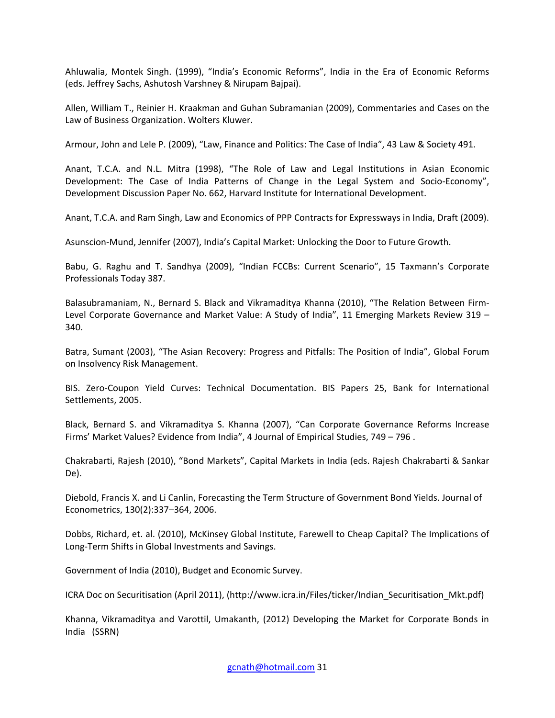Ahluwalia, Montek Singh. (1999), "India's Economic Reforms", India in the Era of Economic Reforms (eds. Jeffrey Sachs, Ashutosh Varshney & Nirupam Bajpai).

Allen, William T., Reinier H. Kraakman and Guhan Subramanian (2009), Commentaries and Cases on the Law of Business Organization. Wolters Kluwer.

Armour, John and Lele P. (2009), "Law, Finance and Politics: The Case of India", 43 Law & Society 491.

Anant, T.C.A. and N.L. Mitra (1998), "The Role of Law and Legal Institutions in Asian Economic Development: The Case of India Patterns of Change in the Legal System and Socio-Economy", Development Discussion Paper No. 662, Harvard Institute for International Development.

Anant, T.C.A. and Ram Singh, Law and Economics of PPP Contracts for Expressways in India, Draft (2009).

Asunscion-Mund, Jennifer (2007), India's Capital Market: Unlocking the Door to Future Growth.

Babu, G. Raghu and T. Sandhya (2009), "Indian FCCBs: Current Scenario", 15 Taxmann's Corporate Professionals Today 387.

Balasubramaniam, N., Bernard S. Black and Vikramaditya Khanna (2010), "The Relation Between Firm-Level Corporate Governance and Market Value: A Study of India", 11 Emerging Markets Review 319 – 340.

Batra, Sumant (2003), "The Asian Recovery: Progress and Pitfalls: The Position of India", Global Forum on Insolvency Risk Management.

BIS. Zero-Coupon Yield Curves: Technical Documentation. BIS Papers 25, Bank for International Settlements, 2005.

Black, Bernard S. and Vikramaditya S. Khanna (2007), "Can Corporate Governance Reforms Increase Firms' Market Values? Evidence from India", 4 Journal of Empirical Studies, 749 – 796 .

Chakrabarti, Rajesh (2010), "Bond Markets", Capital Markets in India (eds. Rajesh Chakrabarti & Sankar De).

Diebold, Francis X. and Li Canlin, Forecasting the Term Structure of Government Bond Yields. Journal of Econometrics, 130(2):337–364, 2006.

Dobbs, Richard, et. al. (2010), McKinsey Global Institute, Farewell to Cheap Capital? The Implications of Long-Term Shifts in Global Investments and Savings.

Government of India (2010), Budget and Economic Survey.

ICRA Doc on Securitisation (April 2011), (http://www.icra.in/Files/ticker/Indian\_Securitisation\_Mkt.pdf)

Khanna, Vikramaditya and Varottil, Umakanth, (2012) Developing the Market for Corporate Bonds in India (SSRN)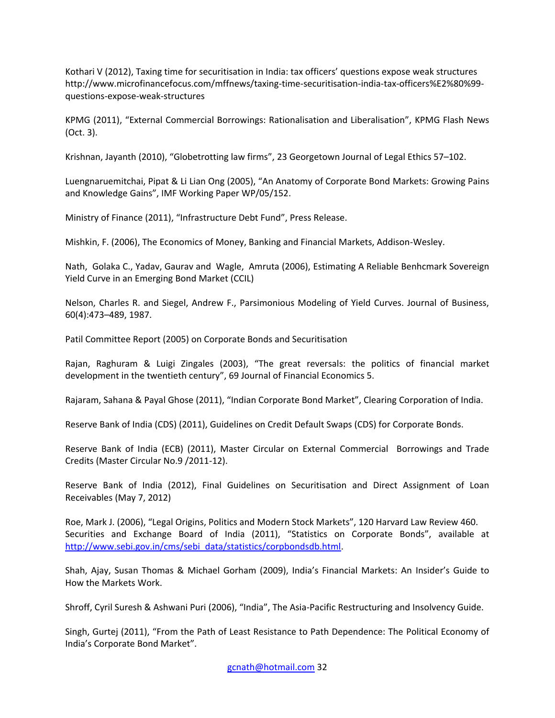Kothari V (2012), Taxing time for securitisation in India: tax officers' questions expose weak structures http://www.microfinancefocus.com/mffnews/taxing-time-securitisation-india-tax-officers%E2%80%99 questions-expose-weak-structures

KPMG (2011), "External Commercial Borrowings: Rationalisation and Liberalisation", KPMG Flash News (Oct. 3).

Krishnan, Jayanth (2010), "Globetrotting law firms", 23 Georgetown Journal of Legal Ethics 57–102.

Luengnaruemitchai, Pipat & Li Lian Ong (2005), "An Anatomy of Corporate Bond Markets: Growing Pains and Knowledge Gains", IMF Working Paper WP/05/152.

Ministry of Finance (2011), "Infrastructure Debt Fund", Press Release.

Mishkin, F. (2006), The Economics of Money, Banking and Financial Markets, Addison-Wesley.

Nath, Golaka C., Yadav, Gaurav and Wagle, Amruta (2006), Estimating A Reliable Benhcmark Sovereign Yield Curve in an Emerging Bond Market (CCIL)

Nelson, Charles R. and Siegel, Andrew F., Parsimonious Modeling of Yield Curves. Journal of Business, 60(4):473–489, 1987.

Patil Committee Report (2005) on Corporate Bonds and Securitisation

Rajan, Raghuram & Luigi Zingales (2003), "The great reversals: the politics of financial market development in the twentieth century", 69 Journal of Financial Economics 5.

Rajaram, Sahana & Payal Ghose (2011), "Indian Corporate Bond Market", Clearing Corporation of India.

Reserve Bank of India (CDS) (2011), Guidelines on Credit Default Swaps (CDS) for Corporate Bonds.

Reserve Bank of India (ECB) (2011), Master Circular on External Commercial Borrowings and Trade Credits (Master Circular No.9 /2011-12).

Reserve Bank of India (2012), Final Guidelines on Securitisation and Direct Assignment of Loan Receivables (May 7, 2012)

Roe, Mark J. (2006), "Legal Origins, Politics and Modern Stock Markets", 120 Harvard Law Review 460. Securities and Exchange Board of India (2011), "Statistics on Corporate Bonds", available at [http://www.sebi.gov.in/cms/sebi\\_data/statistics/corpbondsdb.html.](http://www.sebi.gov.in/cms/sebi_data/statistics/corpbondsdb.html)

Shah, Ajay, Susan Thomas & Michael Gorham (2009), India's Financial Markets: An Insider's Guide to How the Markets Work.

Shroff, Cyril Suresh & Ashwani Puri (2006), "India", The Asia-Pacific Restructuring and Insolvency Guide.

Singh, Gurtej (2011), "From the Path of Least Resistance to Path Dependence: The Political Economy of India's Corporate Bond Market".